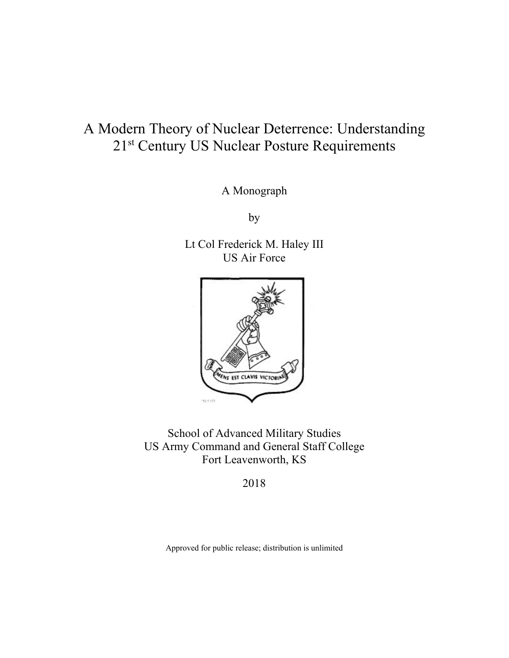# A Modern Theory of Nuclear Deterrence: Understanding 21<sup>st</sup> Century US Nuclear Posture Requirements

A Monograph

by

Lt Col Frederick M. Haley III US Air Force



School of Advanced Military Studies US Army Command and General Staff College Fort Leavenworth, KS

2018

Approved for public release; distribution is unlimited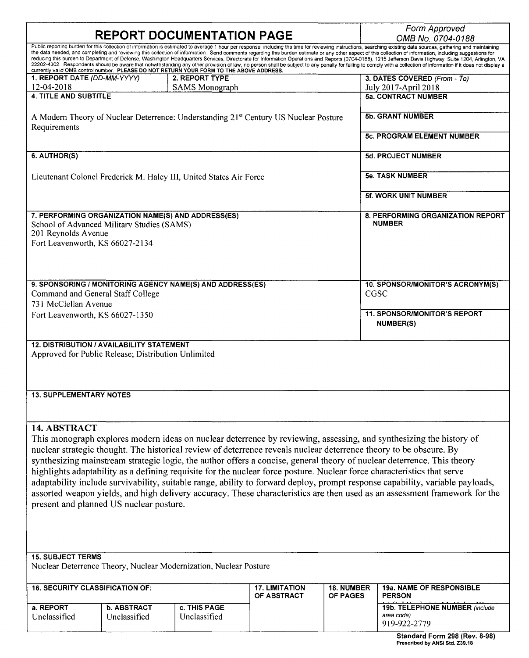|                                                                                                                                                                                                                                                                                                                                                                                                                                                                                                                                                                                                                                                                                                                                                                                                                                                                                                                                                                | <b>REPORT DOCUMENTATION PAGE</b>   |                                                                                                  | Form Approved<br>OMB No. 0704-0188   |                                      |                                                              |
|----------------------------------------------------------------------------------------------------------------------------------------------------------------------------------------------------------------------------------------------------------------------------------------------------------------------------------------------------------------------------------------------------------------------------------------------------------------------------------------------------------------------------------------------------------------------------------------------------------------------------------------------------------------------------------------------------------------------------------------------------------------------------------------------------------------------------------------------------------------------------------------------------------------------------------------------------------------|------------------------------------|--------------------------------------------------------------------------------------------------|--------------------------------------|--------------------------------------|--------------------------------------------------------------|
| Public reporting burden for this collection of information is estimated to average 1 hour per response, including the time for reviewing instructions, searching existing data sources, gathering and maintaining<br>the data needed, and completing and reviewing this collection of information. Send comments regarding this burden estimate or any other aspect of this collection of information, including suggestions for<br>reducing this burden to Department of Defense, Washington Headquarters Services, Directorate for Information Operations and Reports (0704-0188), 1215 Jefferson Davis Highway, Suite 1204, Arlington, VA<br>22202-4302. Respondents should be aware that notwithstanding any other provision of law, no person shall be subject to any penalty for failing to comply with a collection of information if it does not display a<br>currently valid OMB control number. PLEASE DO NOT RETURN YOUR FORM TO THE ABOVE ADDRESS. |                                    |                                                                                                  |                                      |                                      |                                                              |
| 1. REPORT DATE (DD-MM-YYYY)                                                                                                                                                                                                                                                                                                                                                                                                                                                                                                                                                                                                                                                                                                                                                                                                                                                                                                                                    |                                    | 2. REPORT TYPE                                                                                   |                                      |                                      | 3. DATES COVERED (From - To)                                 |
| 12-04-2018                                                                                                                                                                                                                                                                                                                                                                                                                                                                                                                                                                                                                                                                                                                                                                                                                                                                                                                                                     |                                    | <b>SAMS</b> Monograph                                                                            |                                      |                                      | July 2017-April 2018                                         |
| <b>4. TITLE AND SUBTITLE</b>                                                                                                                                                                                                                                                                                                                                                                                                                                                                                                                                                                                                                                                                                                                                                                                                                                                                                                                                   |                                    |                                                                                                  |                                      |                                      | <b>5a. CONTRACT NUMBER</b>                                   |
| Requirements                                                                                                                                                                                                                                                                                                                                                                                                                                                                                                                                                                                                                                                                                                                                                                                                                                                                                                                                                   |                                    | A Modern Theory of Nuclear Deterrence: Understanding 21 <sup>st</sup> Century US Nuclear Posture |                                      |                                      | <b>5b. GRANT NUMBER</b>                                      |
|                                                                                                                                                                                                                                                                                                                                                                                                                                                                                                                                                                                                                                                                                                                                                                                                                                                                                                                                                                |                                    |                                                                                                  |                                      |                                      | <b>5c. PROGRAM ELEMENT NUMBER</b>                            |
| 6. AUTHOR(S)                                                                                                                                                                                                                                                                                                                                                                                                                                                                                                                                                                                                                                                                                                                                                                                                                                                                                                                                                   |                                    |                                                                                                  |                                      |                                      | <b>5d. PROJECT NUMBER</b>                                    |
|                                                                                                                                                                                                                                                                                                                                                                                                                                                                                                                                                                                                                                                                                                                                                                                                                                                                                                                                                                |                                    | Lieutenant Colonel Frederick M. Haley III, United States Air Force                               |                                      |                                      | <b>5e. TASK NUMBER</b>                                       |
|                                                                                                                                                                                                                                                                                                                                                                                                                                                                                                                                                                                                                                                                                                                                                                                                                                                                                                                                                                |                                    |                                                                                                  |                                      |                                      | 5f. WORK UNIT NUMBER                                         |
| 7. PERFORMING ORGANIZATION NAME(S) AND ADDRESS(ES)<br>School of Advanced Military Studies (SAMS)<br>201 Reynolds Avenue<br>Fort Leavenworth, KS 66027-2134                                                                                                                                                                                                                                                                                                                                                                                                                                                                                                                                                                                                                                                                                                                                                                                                     |                                    |                                                                                                  |                                      |                                      | 8. PERFORMING ORGANIZATION REPORT<br><b>NUMBER</b>           |
| 9. SPONSORING / MONITORING AGENCY NAME(S) AND ADDRESS(ES)<br>Command and General Staff College<br>731 McClellan Avenue                                                                                                                                                                                                                                                                                                                                                                                                                                                                                                                                                                                                                                                                                                                                                                                                                                         |                                    |                                                                                                  |                                      |                                      | 10. SPONSOR/MONITOR'S ACRONYM(S)<br>CGSC                     |
| Fort Leavenworth, KS 66027-1350                                                                                                                                                                                                                                                                                                                                                                                                                                                                                                                                                                                                                                                                                                                                                                                                                                                                                                                                |                                    |                                                                                                  |                                      |                                      | <b>11. SPONSOR/MONITOR'S REPORT</b><br><b>NUMBER(S)</b>      |
| <b>12. DISTRIBUTION / AVAILABILITY STATEMENT</b><br>Approved for Public Release; Distribution Unlimited<br><b>13. SUPPLEMENTARY NOTES</b>                                                                                                                                                                                                                                                                                                                                                                                                                                                                                                                                                                                                                                                                                                                                                                                                                      |                                    |                                                                                                  |                                      |                                      |                                                              |
| 14. ABSTRACT<br>This monograph explores modern ideas on nuclear deterrence by reviewing, assessing, and synthesizing the history of<br>nuclear strategic thought. The historical review of deterrence reveals nuclear deterrence theory to be obscure. By<br>synthesizing mainstream strategic logic, the author offers a concise, general theory of nuclear deterrence. This theory<br>highlights adaptability as a defining requisite for the nuclear force posture. Nuclear force characteristics that serve<br>adaptability include survivability, suitable range, ability to forward deploy, prompt response capability, variable payloads,<br>assorted weapon yields, and high delivery accuracy. These characteristics are then used as an assessment framework for the<br>present and planned US nuclear posture.                                                                                                                                      |                                    |                                                                                                  |                                      |                                      |                                                              |
| <b>15. SUBJECT TERMS</b><br>Nuclear Deterrence Theory, Nuclear Modernization, Nuclear Posture                                                                                                                                                                                                                                                                                                                                                                                                                                                                                                                                                                                                                                                                                                                                                                                                                                                                  |                                    |                                                                                                  |                                      |                                      |                                                              |
| <b>16. SECURITY CLASSIFICATION OF:</b>                                                                                                                                                                                                                                                                                                                                                                                                                                                                                                                                                                                                                                                                                                                                                                                                                                                                                                                         |                                    |                                                                                                  | <b>17. LIMITATION</b><br>OF ABSTRACT | <b>18. NUMBER</b><br><b>OF PAGES</b> | <b>19a. NAME OF RESPONSIBLE</b><br><b>PERSON</b>             |
| a. REPORT<br>Unclassified                                                                                                                                                                                                                                                                                                                                                                                                                                                                                                                                                                                                                                                                                                                                                                                                                                                                                                                                      | <b>b. ABSTRACT</b><br>Unclassified | c. THIS PAGE<br>Unclassified                                                                     |                                      |                                      | 19b. TELEPHONE NUMBER (include<br>area code)<br>919-922-2779 |
|                                                                                                                                                                                                                                                                                                                                                                                                                                                                                                                                                                                                                                                                                                                                                                                                                                                                                                                                                                |                                    |                                                                                                  |                                      |                                      | Standard Form 298 (Rev. 8-98)                                |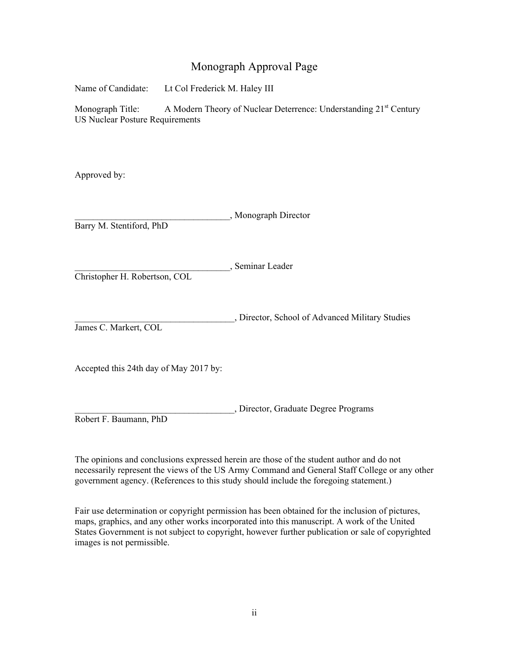### Monograph Approval Page

Name of Candidate: Lt Col Frederick M. Haley III

Monograph Title: A Modern Theory of Nuclear Deterrence: Understanding 21<sup>st</sup> Century US Nuclear Posture Requirements

Approved by:

\_\_\_\_\_\_\_\_\_\_\_\_\_\_\_\_\_\_\_\_\_\_\_\_\_\_\_\_\_\_\_\_\_\_, Monograph Director

Barry M. Stentiford, PhD

\_\_\_\_\_\_\_\_\_\_\_\_\_\_\_\_\_\_\_\_\_\_\_\_\_\_\_\_\_\_\_\_\_\_, Seminar Leader

Christopher H. Robertson, COL

\_\_\_\_\_\_\_\_\_\_\_\_\_\_\_\_\_\_\_\_\_\_\_\_\_\_\_\_\_\_\_\_\_\_\_, Director, School of Advanced Military Studies James C. Markert, COL

Accepted this 24th day of May 2017 by:

\_\_\_\_\_\_\_\_\_\_\_\_\_\_\_\_\_\_\_\_\_\_\_\_\_\_\_\_\_\_\_\_\_\_\_, Director, Graduate Degree Programs Robert F. Baumann, PhD

The opinions and conclusions expressed herein are those of the student author and do not necessarily represent the views of the US Army Command and General Staff College or any other government agency. (References to this study should include the foregoing statement.)

Fair use determination or copyright permission has been obtained for the inclusion of pictures, maps, graphics, and any other works incorporated into this manuscript. A work of the United States Government is not subject to copyright, however further publication or sale of copyrighted images is not permissible.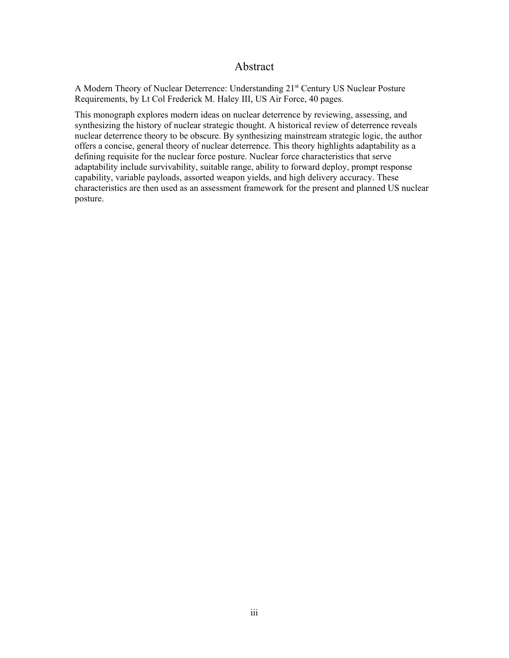#### Abstract

A Modern Theory of Nuclear Deterrence: Understanding 21<sup>st</sup> Century US Nuclear Posture Requirements, by Lt Col Frederick M. Haley III, US Air Force, 40 pages.

 synthesizing the history of nuclear strategic thought. A historical review of deterrence reveals This monograph explores modern ideas on nuclear deterrence by reviewing, assessing, and nuclear deterrence theory to be obscure. By synthesizing mainstream strategic logic, the author offers a concise, general theory of nuclear deterrence. This theory highlights adaptability as a defining requisite for the nuclear force posture. Nuclear force characteristics that serve adaptability include survivability, suitable range, ability to forward deploy, prompt response capability, variable payloads, assorted weapon yields, and high delivery accuracy. These characteristics are then used as an assessment framework for the present and planned US nuclear posture.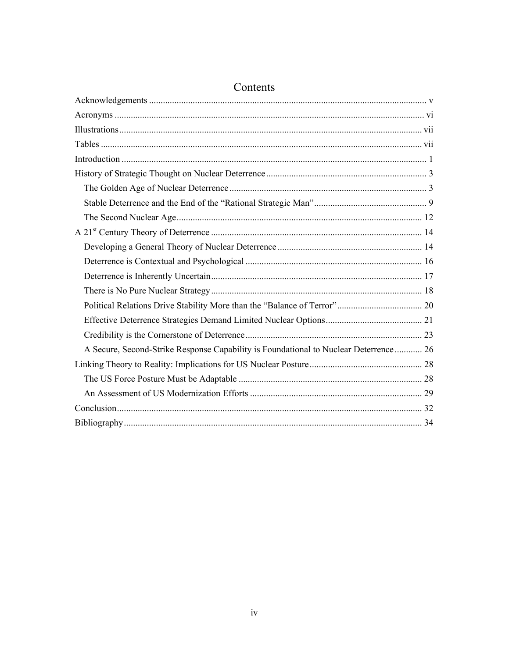| A Secure, Second-Strike Response Capability is Foundational to Nuclear Deterrence 26 |
|--------------------------------------------------------------------------------------|
|                                                                                      |
|                                                                                      |
|                                                                                      |
|                                                                                      |
|                                                                                      |

## Contents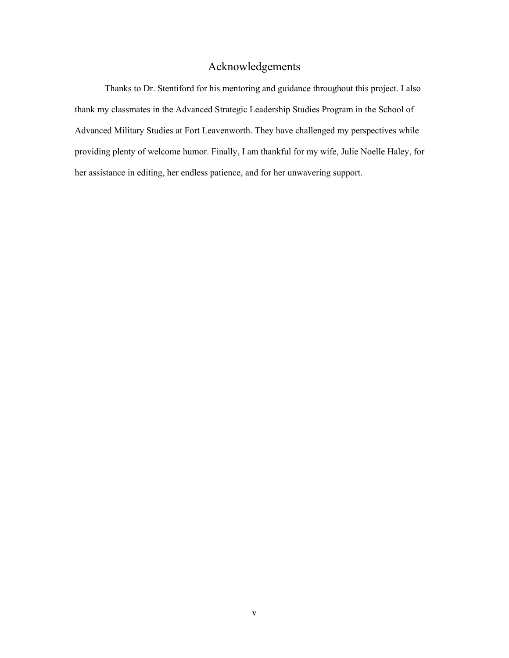### Acknowledgements

<span id="page-5-0"></span>Thanks to Dr. Stentiford for his mentoring and guidance throughout this project. I also thank my classmates in the Advanced Strategic Leadership Studies Program in the School of Advanced Military Studies at Fort Leavenworth. They have challenged my perspectives while providing plenty of welcome humor. Finally, I am thankful for my wife, Julie Noelle Haley, for her assistance in editing, her endless patience, and for her unwavering support.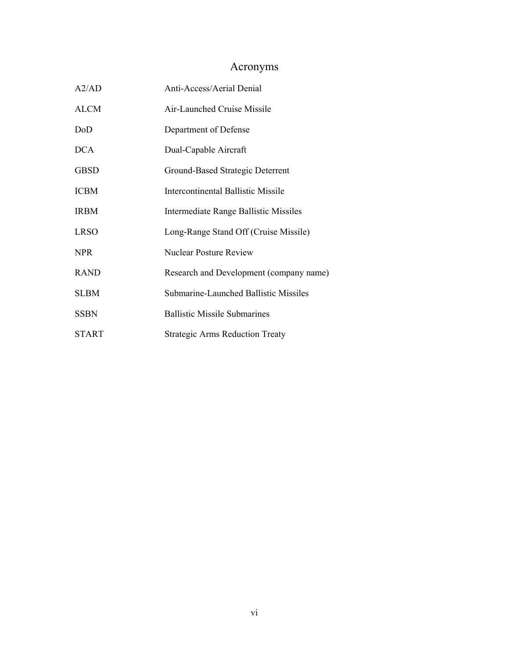## Acronyms

<span id="page-6-0"></span>

| A2/AD        | Anti-Access/Aerial Denial               |
|--------------|-----------------------------------------|
| <b>ALCM</b>  | Air-Launched Cruise Missile             |
| DoD          | Department of Defense                   |
| <b>DCA</b>   | Dual-Capable Aircraft                   |
| <b>GBSD</b>  | Ground-Based Strategic Deterrent        |
| <b>ICBM</b>  | Intercontinental Ballistic Missile      |
| <b>IRBM</b>  | Intermediate Range Ballistic Missiles   |
| <b>LRSO</b>  | Long-Range Stand Off (Cruise Missile)   |
| NPR.         | Nuclear Posture Review                  |
| <b>RAND</b>  | Research and Development (company name) |
| <b>SLBM</b>  | Submarine-Launched Ballistic Missiles   |
| <b>SSBN</b>  | <b>Ballistic Missile Submarines</b>     |
| <b>START</b> | <b>Strategic Arms Reduction Treaty</b>  |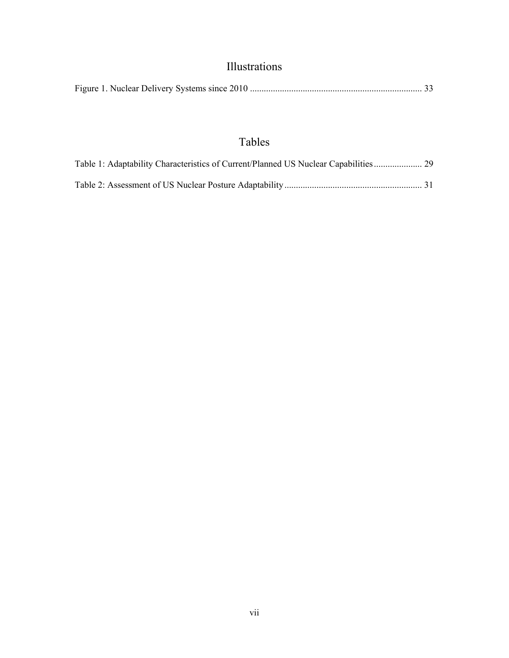## Illustrations

<span id="page-7-0"></span>

## Tables

| Table 1: Adaptability Characteristics of Current/Planned US Nuclear Capabilities 29 |  |
|-------------------------------------------------------------------------------------|--|
|                                                                                     |  |
|                                                                                     |  |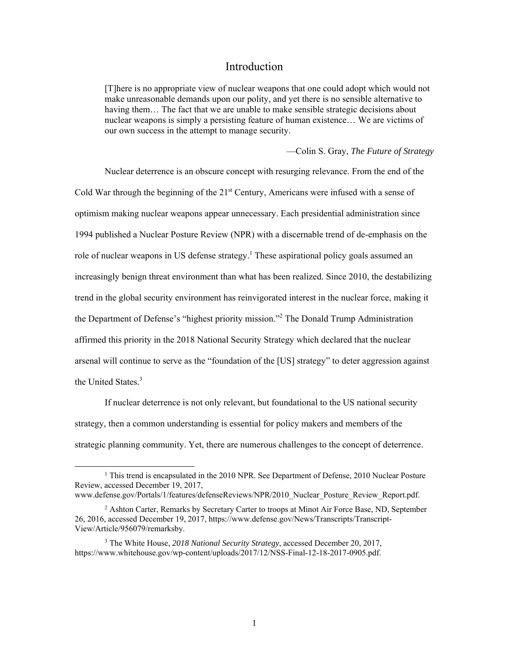#### Introduction

<span id="page-8-0"></span>[T]here is no appropriate view of nuclear weapons that one could adopt which would not make unreasonable demands upon our polity, and yet there is no sensible alternative to having them... The fact that we are unable to make sensible strategic decisions about nuclear weapons is simply a persisting feature of human existence… We are victims of our own success in the attempt to manage security.

—Colin S. Gray, *The Future of Strategy* 

the United States.<sup>3</sup> Nuclear deterrence is an obscure concept with resurging relevance. From the end of the Cold War through the beginning of the  $21<sup>st</sup>$  Century, Americans were infused with a sense of optimism making nuclear weapons appear unnecessary. Each presidential administration since 1994 published a Nuclear Posture Review (NPR) with a discernable trend of de-emphasis on the role of nuclear weapons in US defense strategy.<sup>1</sup> These aspirational policy goals assumed an increasingly benign threat environment than what has been realized. Since 2010, the destabilizing trend in the global security environment has reinvigorated interest in the nuclear force, making it the Department of Defense's "highest priority mission."2 The Donald Trump Administration affirmed this priority in the 2018 National Security Strategy which declared that the nuclear arsenal will continue to serve as the "foundation of the [US] strategy" to deter aggression against

If nuclear deterrence is not only relevant, but foundational to the US national security strategy, then a common understanding is essential for policy makers and members of the strategic planning community. Yet, there are numerous challenges to the concept of deterrence.

<sup>&</sup>lt;sup>1</sup> This trend is encapsulated in the 2010 NPR. See Department of Defense, 2010 Nuclear Posture Review, accessed December 19, 2017,

 [www.defense.gov/Portals/1/features/defenseReviews/NPR/2010\\_Nuclear\\_Posture\\_Review\\_Report.pdf.](www.defense.gov/Portals/1/features/defenseReviews/NPR/2010_Nuclear_Posture_Review_Report.pdf)

<sup>&</sup>lt;sup>2</sup> Ashton Carter, Remarks by Secretary Carter to troops at Minot Air Force Base, ND, September 26, 2016, accessed December 19, 2017,<https://www.defense.gov/News/Transcripts/Transcript>-View/Article/956079/remarksby.

<sup>3</sup> The White House, *2018 National Security Strategy*, accessed December 20, 2017, <https://www.whitehouse.gov/wp-content/uploads/2017/12/NSS-Final-12-18-2017-0905.pdf>.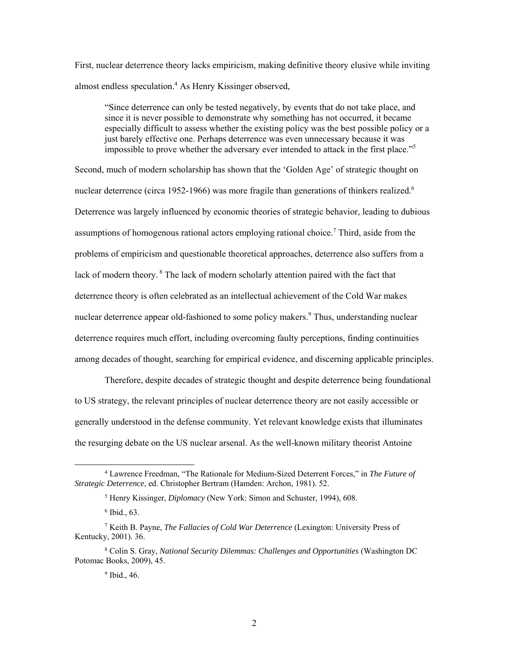First, nuclear deterrence theory lacks empiricism, making definitive theory elusive while inviting almost endless speculation.<sup>4</sup> As Henry Kissinger observed,

impossible to prove whether the adversary ever intended to attack in the first place."<sup>5</sup> "Since deterrence can only be tested negatively, by events that do not take place, and since it is never possible to demonstrate why something has not occurred, it became especially difficult to assess whether the existing policy was the best possible policy or a just barely effective one. Perhaps deterrence was even unnecessary because it was

Second, much of modern scholarship has shown that the 'Golden Age' of strategic thought on nuclear deterrence (circa 1952-1966) was more fragile than generations of thinkers realized.<sup>6</sup> Deterrence was largely influenced by economic theories of strategic behavior, leading to dubious assumptions of homogenous rational actors employing rational choice.<sup>7</sup> Third, aside from the problems of empiricism and questionable theoretical approaches, deterrence also suffers from a lack of modern theory.<sup>8</sup> The lack of modern scholarly attention paired with the fact that deterrence theory is often celebrated as an intellectual achievement of the Cold War makes nuclear deterrence appear old-fashioned to some policy makers.<sup>9</sup> Thus, understanding nuclear deterrence requires much effort, including overcoming faulty perceptions, finding continuities among decades of thought, searching for empirical evidence, and discerning applicable principles.

Therefore, despite decades of strategic thought and despite deterrence being foundational to US strategy, the relevant principles of nuclear deterrence theory are not easily accessible or generally understood in the defense community. Yet relevant knowledge exists that illuminates the resurging debate on the US nuclear arsenal. As the well-known military theorist Antoine

<sup>4</sup> Lawrence Freedman, "The Rationale for Medium-Sized Deterrent Forces," in *The Future of Strategic Deterrence*, ed. Christopher Bertram (Hamden: Archon, 1981). 52.

<sup>5</sup> Henry Kissinger, *Diplomacy* (New York: Simon and Schuster, 1994), 608.

<sup>6</sup> Ibid., 63.

<sup>7</sup> Keith B. Payne, *The Fallacies of Cold War Deterrence* (Lexington: University Press of Kentucky, 2001). 36.

<sup>8</sup> Colin S. Gray, *National Security Dilemmas: Challenges and Opportunities* (Washington DC Potomac Books, 2009), 45.

<sup>&</sup>lt;sup>9</sup> Ibid., 46.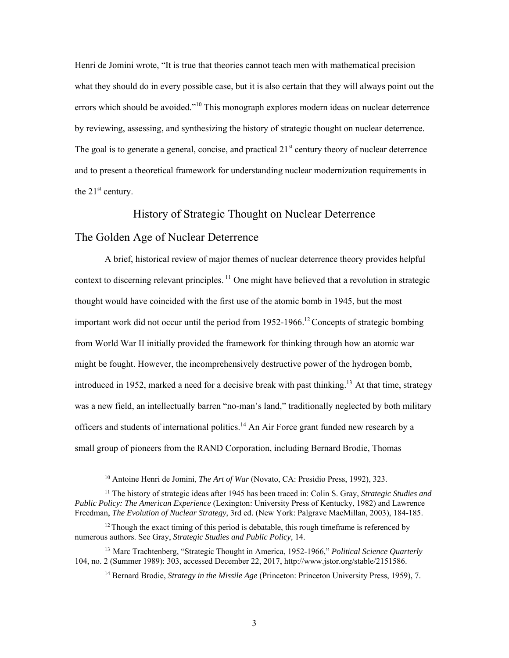<span id="page-10-0"></span>The goal is to generate a general, concise, and practical 21<sup>st</sup> century theory of nuclear deterrence Henri de Jomini wrote, "It is true that theories cannot teach men with mathematical precision what they should do in every possible case, but it is also certain that they will always point out the errors which should be avoided."<sup>10</sup> This monograph explores modern ideas on nuclear deterrence by reviewing, assessing, and synthesizing the history of strategic thought on nuclear deterrence. and to present a theoretical framework for understanding nuclear modernization requirements in the  $21<sup>st</sup>$  century.

#### History of Strategic Thought on Nuclear Deterrence

#### The Golden Age of Nuclear Deterrence

1

A brief, historical review of major themes of nuclear deterrence theory provides helpful context to discerning relevant principles.  $^{11}$  One might have believed that a revolution in strategic thought would have coincided with the first use of the atomic bomb in 1945, but the most important work did not occur until the period from  $1952$ -1966.<sup>12</sup> Concepts of strategic bombing from World War II initially provided the framework for thinking through how an atomic war might be fought. However, the incomprehensively destructive power of the hydrogen bomb, introduced in 1952, marked a need for a decisive break with past thinking.<sup>13</sup> At that time, strategy was a new field, an intellectually barren "no-man's land," traditionally neglected by both military officers and students of international [politics.](https://politics.14)<sup>14</sup> An Air Force grant funded new research by a small group of pioneers from the RAND Corporation, including Bernard Brodie, Thomas

<sup>10</sup> Antoine Henri de Jomini, *The Art of War* (Novato, CA: Presidio Press, 1992), 323.

 11 The history of strategic ideas after 1945 has been traced in: Colin S. Gray, *Strategic Studies and Public Policy: The American Experience* (Lexington: University Press of Kentucky, 1982) and Lawrence Freedman, *The Evolution of Nuclear Strategy*, 3rd ed. (New York: Palgrave MacMillan, 2003), 184-185.

 $12$  Though the exact timing of this period is debatable, this rough timeframe is referenced by numerous authors. See Gray, *Strategic Studies and Public Policy,* 14.

<sup>13</sup> Marc Trachtenberg, "Strategic Thought in America, 1952-1966," *Political Science Quarterly*  104, no. 2 (Summer 1989): 303, accessed December 22, 2017, <http://www.jstor.org/stable/2151586>.

<sup>14</sup> Bernard Brodie, *Strategy in the Missile Age* (Princeton: Princeton University Press, 1959), 7.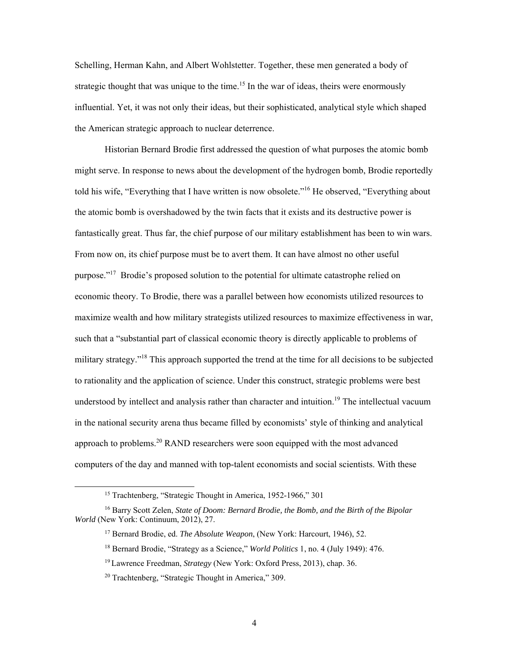Schelling, Herman Kahn, and Albert Wohlstetter. Together, these men generated a body of strategic thought that was unique to the time.<sup>15</sup> In the war of ideas, theirs were enormously influential. Yet, it was not only their ideas, but their sophisticated, analytical style which shaped the American strategic approach to nuclear deterrence.

Historian Bernard Brodie first addressed the question of what purposes the atomic bomb might serve. In response to news about the development of the hydrogen bomb, Brodie reportedly told his wife, "Everything that I have written is now obsolete."<sup>16</sup> He observed, "Everything about the atomic bomb is overshadowed by the twin facts that it exists and its destructive power is fantastically great. Thus far, the chief purpose of our military establishment has been to win wars. From now on, its chief purpose must be to avert them. It can have almost no other useful purpose."<sup>17</sup> Brodie's proposed solution to the potential for ultimate catastrophe relied on economic theory. To Brodie, there was a parallel between how economists utilized resources to maximize wealth and how military strategists utilized resources to maximize effectiveness in war, such that a "substantial part of classical economic theory is directly applicable to problems of military strategy.<sup>"18</sup> This approach supported the trend at the time for all decisions to be subjected to rationality and the application of science. Under this construct, strategic problems were best understood by intellect and analysis rather than character and intuition.<sup>19</sup> The intellectual vacuum in the national security arena thus became filled by economists' style of thinking and analytical approach to [problems.](https://problems.20)<sup>20</sup> RAND researchers were soon equipped with the most advanced computers of the day and manned with top-talent economists and social scientists. With these

<sup>&</sup>lt;sup>15</sup> Trachtenberg, "Strategic Thought in America, 1952-1966," 301

<sup>16</sup> Barry Scott Zelen, *State of Doom: Bernard Brodie, the Bomb, and the Birth of the Bipolar World* (New York: Continuum, 2012), 27.

<sup>17</sup> Bernard Brodie, ed. *The Absolute Weapon*, (New York: Harcourt, 1946), 52.

 18 Bernard Brodie, "Strategy as a Science," *World Politics* 1, no. 4 (July 1949): 476.

<sup>19</sup> Lawrence Freedman, *Strategy* (New York: Oxford Press, 2013), chap. 36.

<sup>20</sup> Trachtenberg, "Strategic Thought in America," 309.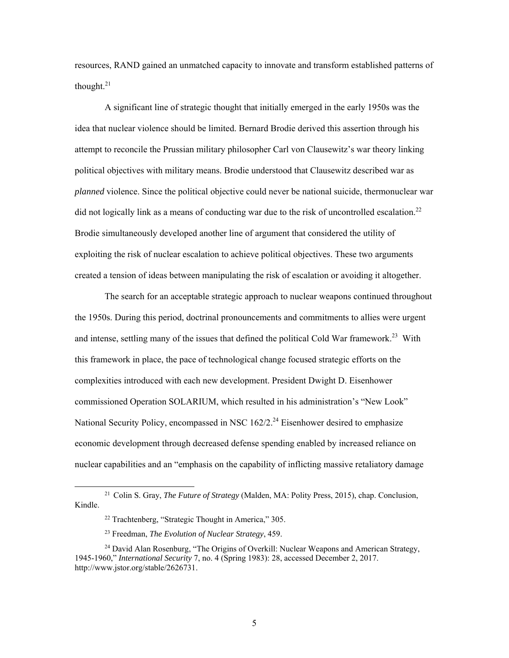resources, RAND gained an unmatched capacity to innovate and transform established patterns of thought. $21$ 

A significant line of strategic thought that initially emerged in the early 1950s was the idea that nuclear violence should be limited. Bernard Brodie derived this assertion through his attempt to reconcile the Prussian military philosopher Carl von Clausewitz's war theory linking political objectives with military means. Brodie understood that Clausewitz described war as *planned* violence. Since the political objective could never be national suicide, thermonuclear war did not logically link as a means of conducting war due to the risk of uncontrolled escalation.<sup>22</sup> Brodie simultaneously developed another line of argument that considered the utility of exploiting the risk of nuclear escalation to achieve political objectives. These two arguments created a tension of ideas between manipulating the risk of escalation or avoiding it altogether.

The search for an acceptable strategic approach to nuclear weapons continued throughout the 1950s. During this period, doctrinal pronouncements and commitments to allies were urgent and intense, settling many of the issues that defined the political Cold War [framework.](https://framework.23)<sup>23</sup> With this framework in place, the pace of technological change focused strategic efforts on the complexities introduced with each new development. President Dwight D. Eisenhower commissioned Operation SOLARIUM, which resulted in his administration's "New Look" National Security Policy, encompassed in NSC  $162/2$ <sup>24</sup> Eisenhower desired to emphasize economic development through decreased defense spending enabled by increased reliance on nuclear capabilities and an "emphasis on the capability of inflicting massive retaliatory damage

<sup>21</sup> Colin S. Gray, *The Future of Strategy* (Malden, MA: Polity Press, 2015), chap. Conclusion, Kindle.

<sup>22</sup> Trachtenberg, "Strategic Thought in America," 305.

<sup>23</sup> Freedman, *The Evolution of Nuclear Strategy*, 459.

<sup>&</sup>lt;sup>24</sup> David Alan Rosenburg, "The Origins of Overkill: Nuclear Weapons and American Strategy, 1945-1960," *International Security* 7, no. 4 (Spring 1983): 28, accessed December 2, 2017. <http://www.jstor.org/stable/2626731>.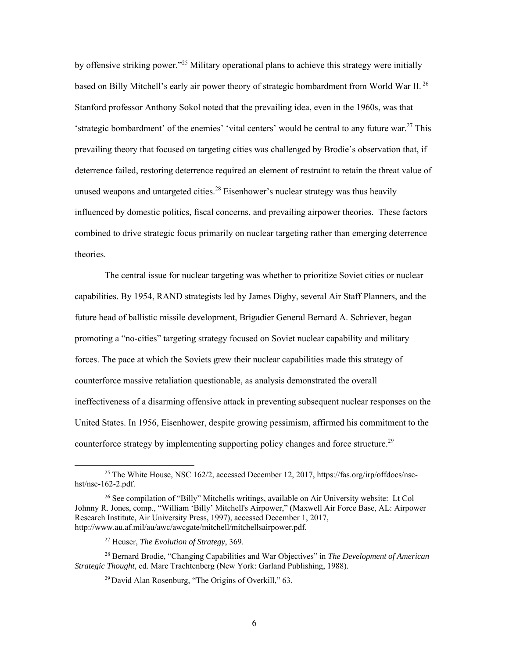by offensive striking power."<sup>25</sup> Military operational plans to achieve this strategy were initially based on Billy Mitchell's early air power theory of strategic bombardment from World War II. 26 Stanford professor Anthony Sokol noted that the prevailing idea, even in the 1960s, was that 'strategic bombardment' of the enemies' 'vital centers' would be central to any future war.<sup>27</sup> This prevailing theory that focused on targeting cities was challenged by Brodie's observation that, if deterrence failed, restoring deterrence required an element of restraint to retain the threat value of unused weapons and untargeted [cities.](https://cities.28)<sup>28</sup> Eisenhower's nuclear strategy was thus heavily influenced by domestic politics, fiscal concerns, and prevailing airpower theories. These factors combined to drive strategic focus primarily on nuclear targeting rather than emerging deterrence theories.

The central issue for nuclear targeting was whether to prioritize Soviet cities or nuclear capabilities. By 1954, RAND strategists led by James Digby, several Air Staff Planners, and the future head of ballistic missile development, Brigadier General Bernard A. Schriever, began promoting a "no-cities" targeting strategy focused on Soviet nuclear capability and military forces. The pace at which the Soviets grew their nuclear capabilities made this strategy of counterforce massive retaliation questionable, as analysis demonstrated the overall ineffectiveness of a disarming offensive attack in preventing subsequent nuclear responses on the United States. In 1956, Eisenhower, despite growing pessimism, affirmed his commitment to the counterforce strategy by implementing supporting policy changes and force [structure.](https://structure.29)<sup>29</sup>

<sup>25</sup> The White House, NSC 162/2, accessed December 12, 2017,<https://fas.org/irp/offdocs/nsc>hst/nsc-162-2.pdf.

<sup>&</sup>lt;sup>26</sup> See compilation of "Billy" Mitchells writings, available on Air University website: Lt Col Johnny R. Jones, comp., "William 'Billy' Mitchell's Airpower," (Maxwell Air Force Base, AL: Airpower Research Institute, Air University Press, 1997), accessed December 1, 2017, [http://www.au.af.mil/au/awc/awcgate/mitchell/mitchellsairpower.pdf.](http://www.au.af.mil/au/awc/awcgate/mitchell/mitchellsairpower.pdf)

<sup>27</sup> Heuser, *The Evolution of Strategy*, 369.

<sup>28</sup> Bernard Brodie, "Changing Capabilities and War Objectives" in *The Development of American Strategic Thought,* ed. Marc Trachtenberg (New York: Garland Publishing, 1988).

<sup>29</sup> David Alan Rosenburg, "The Origins of Overkill," 63.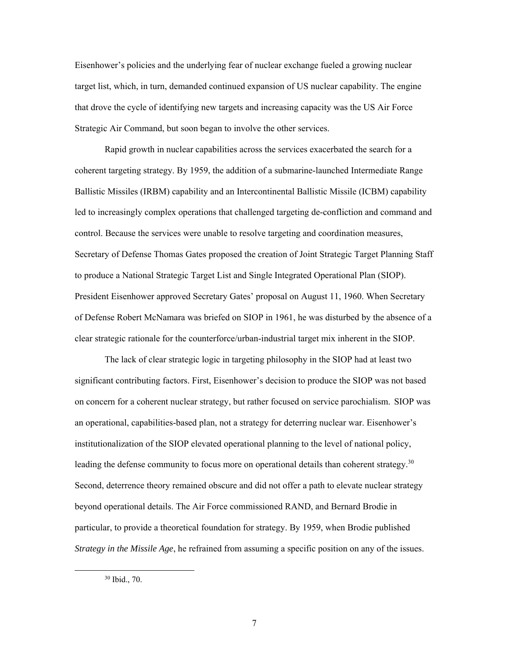Eisenhower's policies and the underlying fear of nuclear exchange fueled a growing nuclear target list, which, in turn, demanded continued expansion of US nuclear capability. The engine that drove the cycle of identifying new targets and increasing capacity was the US Air Force Strategic Air Command, but soon began to involve the other services.

Rapid growth in nuclear capabilities across the services exacerbated the search for a coherent targeting strategy. By 1959, the addition of a submarine-launched Intermediate Range Ballistic Missiles (IRBM) capability and an Intercontinental Ballistic Missile (ICBM) capability led to increasingly complex operations that challenged targeting de-confliction and command and control. Because the services were unable to resolve targeting and coordination measures, Secretary of Defense Thomas Gates proposed the creation of Joint Strategic Target Planning Staff to produce a National Strategic Target List and Single Integrated Operational Plan (SIOP). President Eisenhower approved Secretary Gates' proposal on August 11, 1960. When Secretary of Defense Robert McNamara was briefed on SIOP in 1961, he was disturbed by the absence of a clear strategic rationale for the counterforce/urban-industrial target mix inherent in the SIOP.

The lack of clear strategic logic in targeting philosophy in the SIOP had at least two significant contributing factors. First, Eisenhower's decision to produce the SIOP was not based on concern for a coherent nuclear strategy, but rather focused on service parochialism. SIOP was an operational, capabilities-based plan, not a strategy for deterring nuclear war. Eisenhower's institutionalization of the SIOP elevated operational planning to the level of national policy, leading the defense community to focus more on operational details than coherent strategy.<sup>30</sup> Second, deterrence theory remained obscure and did not offer a path to elevate nuclear strategy beyond operational details. The Air Force commissioned RAND, and Bernard Brodie in particular, to provide a theoretical foundation for strategy. By 1959, when Brodie published *Strategy in the Missile Age*, he refrained from assuming a specific position on any of the issues.

<sup>30</sup> Ibid., 70.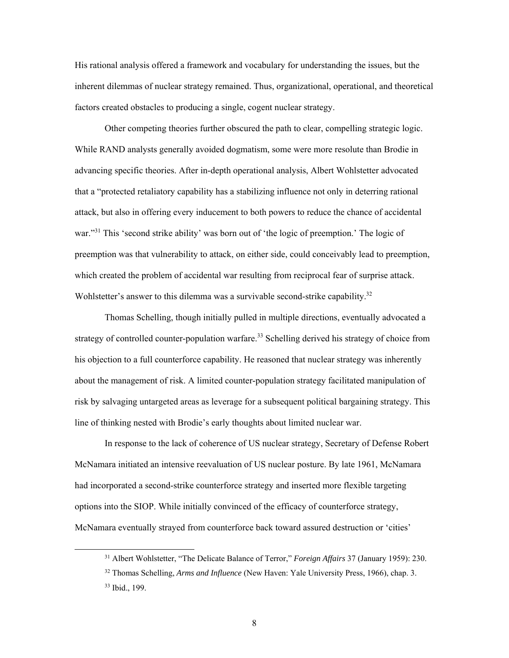His rational analysis offered a framework and vocabulary for understanding the issues, but the inherent dilemmas of nuclear strategy remained. Thus, organizational, operational, and theoretical factors created obstacles to producing a single, cogent nuclear strategy.

Wohlstetter's answer to this dilemma was a survivable second-strike capability. $32$ Other competing theories further obscured the path to clear, compelling strategic logic. While RAND analysts generally avoided dogmatism, some were more resolute than Brodie in advancing specific theories. After in-depth operational analysis, Albert Wohlstetter advocated that a "protected retaliatory capability has a stabilizing influence not only in deterring rational attack, but also in offering every inducement to both powers to reduce the chance of accidental war."<sup>31</sup> This 'second strike ability' was born out of 'the logic of preemption.' The logic of preemption was that vulnerability to attack, on either side, could conceivably lead to preemption, which created the problem of accidental war resulting from reciprocal fear of surprise attack.

strategy of controlled counter-population [warfare.](https://warfare.33)<sup>33</sup> Schelling derived his strategy of choice from Thomas Schelling, though initially pulled in multiple directions, eventually advocated a his objection to a full counterforce capability. He reasoned that nuclear strategy was inherently about the management of risk. A limited counter-population strategy facilitated manipulation of risk by salvaging untargeted areas as leverage for a subsequent political bargaining strategy. This line of thinking nested with Brodie's early thoughts about limited nuclear war.

In response to the lack of coherence of US nuclear strategy, Secretary of Defense Robert McNamara initiated an intensive reevaluation of US nuclear posture. By late 1961, McNamara had incorporated a second-strike counterforce strategy and inserted more flexible targeting options into the SIOP. While initially convinced of the efficacy of counterforce strategy, McNamara eventually strayed from counterforce back toward assured destruction or 'cities'

<sup>31</sup> Albert Wohlstetter, "The Delicate Balance of Terror," *Foreign Affairs* 37 (January 1959): 230.

 33 Ibid., 199. 32 Thomas Schelling, *Arms and Influence* (New Haven: Yale University Press, 1966), chap. 3.

<sup>8</sup>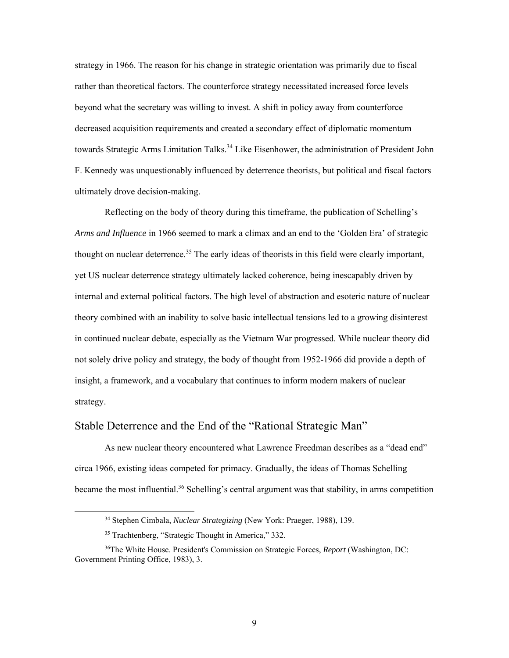<span id="page-16-0"></span> beyond what the secretary was willing to invest. A shift in policy away from counterforce strategy in 1966. The reason for his change in strategic orientation was primarily due to fiscal rather than theoretical factors. The counterforce strategy necessitated increased force levels decreased acquisition requirements and created a secondary effect of diplomatic momentum towards Strategic Arms Limitation [Talks.](https://Talks.34)<sup>34</sup> Like Eisenhower, the administration of President John F. Kennedy was unquestionably influenced by deterrence theorists, but political and fiscal factors ultimately drove decision-making.

 not solely drive policy and strategy, the body of thought from 1952-1966 did provide a depth of Reflecting on the body of theory during this timeframe, the publication of Schelling's *Arms and Influence* in 1966 seemed to mark a climax and an end to the 'Golden Era' of strategic thought on nuclear [deterrence.](https://deterrence.35)<sup>35</sup> The early ideas of theorists in this field were clearly important, yet US nuclear deterrence strategy ultimately lacked coherence, being inescapably driven by internal and external political factors. The high level of abstraction and esoteric nature of nuclear theory combined with an inability to solve basic intellectual tensions led to a growing disinterest in continued nuclear debate, especially as the Vietnam War progressed. While nuclear theory did insight, a framework, and a vocabulary that continues to inform modern makers of nuclear strategy.

#### Stable Deterrence and the End of the "Rational Strategic Man"

As new nuclear theory encountered what Lawrence Freedman describes as a "dead end" circa 1966, existing ideas competed for primacy. Gradually, the ideas of Thomas Schelling became the most influential.<sup>36</sup> Schelling's central argument was that stability, in arms competition

 34 Stephen Cimbala, *Nuclear Strategizing* (New York: Praeger, 1988), 139.

<sup>35</sup> Trachtenberg, "Strategic Thought in America," 332.

 Government Printing Office, 1983), 3. 36The White House. President's Commission on Strategic Forces, *Report* (Washington, DC: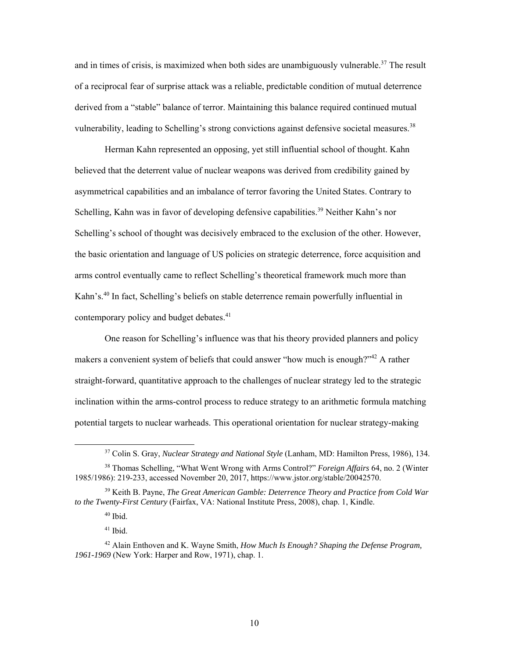and in times of crisis, is maximized when both sides are unambiguously [vulnerable.](https://vulnerable.37)<sup>37</sup> The result of a reciprocal fear of surprise attack was a reliable, predictable condition of mutual deterrence derived from a "stable" balance of terror. Maintaining this balance required continued mutual vulnerability, leading to Schelling's strong convictions against defensive societal [measures.](https://measures.38)<sup>38</sup>

contemporary policy and budget debates.<sup>41</sup> Herman Kahn represented an opposing, yet still influential school of thought. Kahn believed that the deterrent value of nuclear weapons was derived from credibility gained by asymmetrical capabilities and an imbalance of terror favoring the United States. Contrary to Schelling, Kahn was in favor of developing defensive [capabilities.](https://capabilities.39)<sup>39</sup> Neither Kahn's nor Schelling's school of thought was decisively embraced to the exclusion of the other. However, the basic orientation and language of US policies on strategic deterrence, force acquisition and arms control eventually came to reflect Schelling's theoretical framework much more than Kahn's.<sup>40</sup> In fact, Schelling's beliefs on stable deterrence remain powerfully influential in

One reason for Schelling's influence was that his theory provided planners and policy makers a convenient system of beliefs that could answer "how much is enough?"<sup>42</sup> A rather straight-forward, quantitative approach to the challenges of nuclear strategy led to the strategic inclination within the arms-control process to reduce strategy to an arithmetic formula matching potential targets to nuclear warheads. This operational orientation for nuclear strategy-making

l

41 Ibid.

 37 Colin S. Gray, *Nuclear Strategy and National Style* (Lanham, MD: Hamilton Press, 1986), 134.

 38 Thomas Schelling, "What Went Wrong with Arms Control?" *Foreign Affairs* 64, no. 2 (Winter 1985/1986): 219-233, accessed November 20, 2017, <https://www.jstor.org/stable/20042570>.

<sup>39</sup> Keith B. Payne, *The Great American Gamble: Deterrence Theory and Practice from Cold War to the Twenty-First Century* (Fairfax, VA: National Institute Press, 2008), chap. 1, Kindle.

 40 Ibid.

 42 Alain Enthoven and K. Wayne Smith, *How Much Is Enough? Shaping the Defense Program, 1961-1969* (New York: Harper and Row, 1971), chap. 1.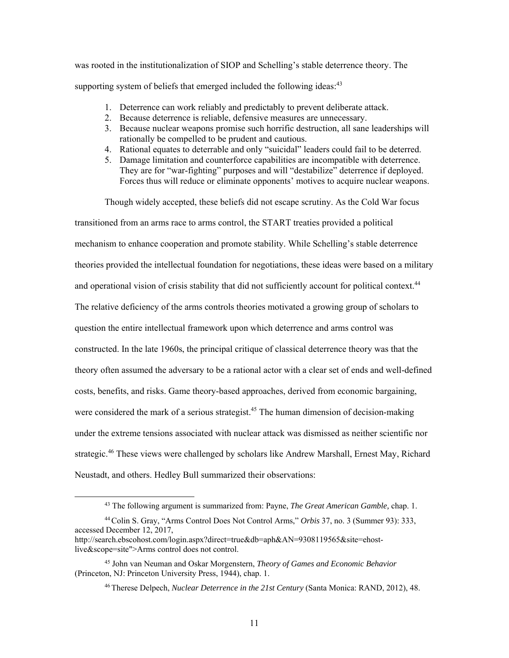supporting system of beliefs that emerged included the following ideas: $43$ was rooted in the institutionalization of SIOP and Schelling's stable deterrence theory. The

- 1. Deterrence can work reliably and predictably to prevent deliberate attack.
- 2. Because deterrence is reliable, defensive measures are unnecessary.
- 3. Because nuclear weapons promise such horrific destruction, all sane leaderships will rationally be compelled to be prudent and cautious.
- 4. Rational equates to deterrable and only "suicidal" leaders could fail to be deterred.
- 5. Damage limitation and counterforce capabilities are incompatible with deterrence. They are for "war-fighting" purposes and will "destabilize" deterrence if deployed. Forces thus will reduce or eliminate opponents' motives to acquire nuclear weapons.

Though widely accepted, these beliefs did not escape scrutiny. As the Cold War focus transitioned from an arms race to arms control, the START treaties provided a political mechanism to enhance cooperation and promote stability. While Schelling's stable deterrence theories provided the intellectual foundation for negotiations, these ideas were based on a military and operational vision of crisis stability that did not sufficiently account for political context.<sup>44</sup> The relative deficiency of the arms controls theories motivated a growing group of scholars to question the entire intellectual framework upon which deterrence and arms control was constructed. In the late 1960s, the principal critique of classical deterrence theory was that the theory often assumed the adversary to be a rational actor with a clear set of ends and well-defined costs, benefits, and risks. Game theory-based approaches, derived from economic bargaining, were considered the mark of a serious strategist.<sup>45</sup> The human dimension of decision-making under the extreme tensions associated with nuclear attack was dismissed as neither scientific nor [strategic.](https://strategic.46)<sup>46</sup> These views were challenged by scholars like Andrew Marshall, Ernest May, Richard Neustadt, and others. Hedley Bull summarized their observations:

<sup>43</sup> The following argument is summarized from: Payne, *The Great American Gamble,* chap. 1.

 44 Colin S. Gray, "Arms Control Does Not Control Arms," *Orbis* 37, no. 3 (Summer 93): 333, accessed December 12, 2017,

<http://search.ebscohost.com/login.aspx?direct=true&db=aph&AN=9308119565&site=ehost>live&scope=site">Arms control does not control.

 (Princeton, NJ: Princeton University Press, 1944), chap. 1. 45 John van Neuman and Oskar Morgenstern, *Theory of Games and Economic Behavior* 

 46 Therese Delpech, *Nuclear Deterrence in the 21st Century* (Santa Monica: RAND, 2012), 48.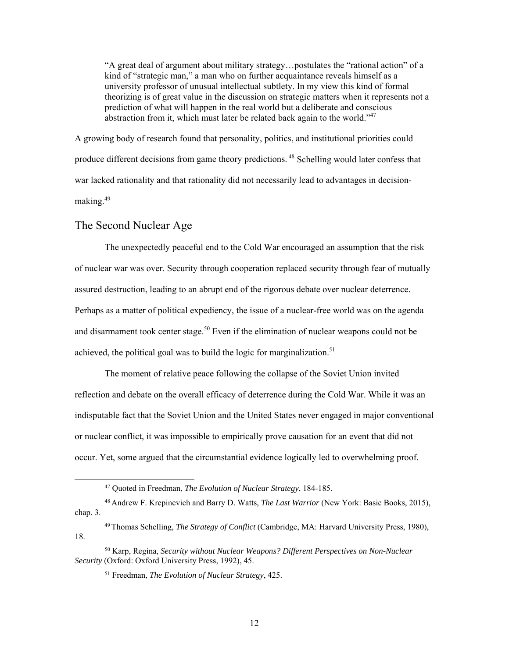<span id="page-19-0"></span>"A great deal of argument about military strategy…postulates the "rational action" of a kind of "strategic man," a man who on further acquaintance reveals himself as a university professor of unusual intellectual subtlety. In my view this kind of formal theorizing is of great value in the discussion on strategic matters when it represents not a prediction of what will happen in the real world but a deliberate and conscious abstraction from it, which must later be related back again to the world."47

produce different decisions from game theory predictions.<sup>48</sup> Schelling would later confess that [making.](https://making.49)<sup>49</sup> A growing body of research found that personality, politics, and institutional priorities could war lacked rationality and that rationality did not necessarily lead to advantages in decision-

#### The Second Nuclear Age

1

achieved, the political goal was to build the logic for marginalization.<sup>51</sup> The unexpectedly peaceful end to the Cold War encouraged an assumption that the risk of nuclear war was over. Security through cooperation replaced security through fear of mutually assured destruction, leading to an abrupt end of the rigorous debate over nuclear deterrence. Perhaps as a matter of political expediency, the issue of a nuclear-free world was on the agenda and disarmament took center [stage.](https://stage.50)<sup>50</sup> Even if the elimination of nuclear weapons could not be

The moment of relative peace following the collapse of the Soviet Union invited reflection and debate on the overall efficacy of deterrence during the Cold War. While it was an indisputable fact that the Soviet Union and the United States never engaged in major conventional or nuclear conflict, it was impossible to empirically prove causation for an event that did not occur. Yet, some argued that the circumstantial evidence logically led to overwhelming proof.

<sup>47</sup> Quoted in Freedman, *The Evolution of Nuclear Strategy*, 184-185.

 48 Andrew F. Krepinevich and Barry D. Watts, *The Last Warrior* (New York: Basic Books, 2015), chap. 3.

<sup>49</sup> Thomas Schelling, *The Strategy of Conflict* (Cambridge, MA: Harvard University Press, 1980), 18.

<sup>50</sup> Karp, Regina, *Security without Nuclear Weapons? Different Perspectives on Non-Nuclear Security* (Oxford: Oxford University Press, 1992), 45.

<sup>51</sup> Freedman, *The Evolution of Nuclear Strategy*, 425.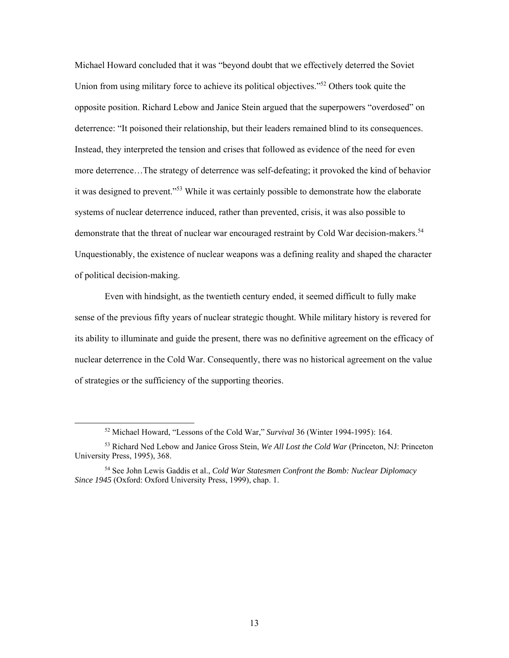Michael Howard concluded that it was "beyond doubt that we effectively deterred the Soviet Union from using military force to achieve its political objectives."52 Others took quite the opposite position. Richard Lebow and Janice Stein argued that the superpowers "overdosed" on deterrence: "It poisoned their relationship, but their leaders remained blind to its consequences. Instead, they interpreted the tension and crises that followed as evidence of the need for even more deterrence…The strategy of deterrence was self-defeating; it provoked the kind of behavior it was designed to prevent."<sup>53</sup> While it was certainly possible to demonstrate how the elaborate systems of nuclear deterrence induced, rather than prevented, crisis, it was also possible to demonstrate that the threat of nuclear war encouraged restraint by Cold War [decision-makers.](https://decision-makers.54)<sup>54</sup> Unquestionably, the existence of nuclear weapons was a defining reality and shaped the character of political decision-making.

Even with hindsight, as the twentieth century ended, it seemed difficult to fully make sense of the previous fifty years of nuclear strategic thought. While military history is revered for its ability to illuminate and guide the present, there was no definitive agreement on the efficacy of nuclear deterrence in the Cold War. Consequently, there was no historical agreement on the value of strategies or the sufficiency of the supporting theories.

<sup>52</sup> Michael Howard, "Lessons of the Cold War," *Survival* 36 (Winter 1994-1995): 164.

<sup>53</sup> Richard Ned Lebow and Janice Gross Stein, *We All Lost the Cold War* (Princeton, NJ: Princeton University Press, 1995), 368.

 54 See John Lewis Gaddis et al., *Cold War Statesmen Confront the Bomb: Nuclear Diplomacy Since 1945* (Oxford: Oxford University Press, 1999), chap. 1.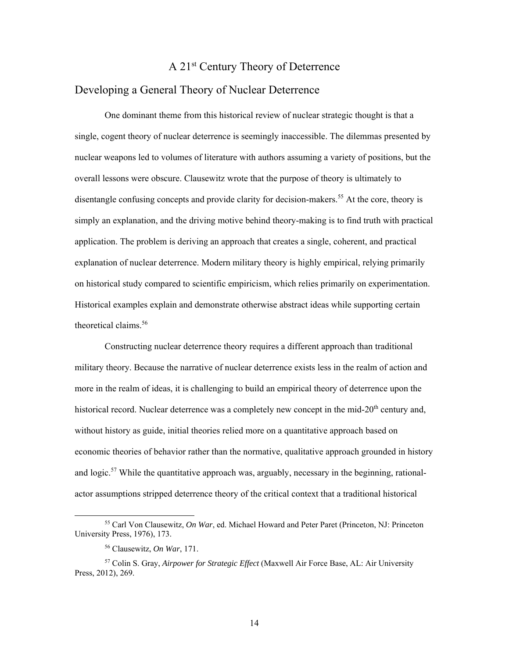#### A 21st Century Theory of Deterrence

#### <span id="page-21-0"></span>Developing a General Theory of Nuclear Deterrence

disentangle confusing concepts and provide clarity for [decision-makers.](https://decision-makers.55)<sup>55</sup> At the core, theory is theoretical [claims.](https://claims.56)<sup>56</sup> One dominant theme from this historical review of nuclear strategic thought is that a single, cogent theory of nuclear deterrence is seemingly inaccessible. The dilemmas presented by nuclear weapons led to volumes of literature with authors assuming a variety of positions, but the overall lessons were obscure. Clausewitz wrote that the purpose of theory is ultimately to simply an explanation, and the driving motive behind theory-making is to find truth with practical application. The problem is deriving an approach that creates a single, coherent, and practical explanation of nuclear deterrence. Modern military theory is highly empirical, relying primarily on historical study compared to scientific empiricism, which relies primarily on experimentation. Historical examples explain and demonstrate otherwise abstract ideas while supporting certain

Constructing nuclear deterrence theory requires a different approach than traditional military theory. Because the narrative of nuclear deterrence exists less in the realm of action and more in the realm of ideas, it is challenging to build an empirical theory of deterrence upon the historical record. Nuclear deterrence was a completely new concept in the mid- $20<sup>th</sup>$  century and, without history as guide, initial theories relied more on a quantitative approach based on economic theories of behavior rather than the normative, qualitative approach grounded in history and logic.<sup>57</sup> While the quantitative approach was, arguably, necessary in the beginning, rationalactor assumptions stripped deterrence theory of the critical context that a traditional historical

<sup>55</sup> Carl Von Clausewitz, *On War*, ed. Michael Howard and Peter Paret (Princeton, NJ: Princeton University Press, 1976), 173.

<sup>56</sup> Clausewitz, *On War*, 171.

<sup>57</sup> Colin S. Gray, *Airpower for Strategic Effect* (Maxwell Air Force Base, AL: Air University Press, 2012), 269.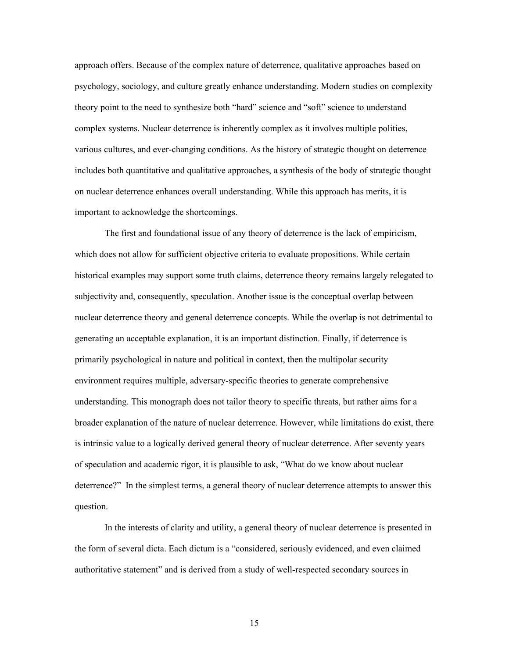approach offers. Because of the complex nature of deterrence, qualitative approaches based on psychology, sociology, and culture greatly enhance understanding. Modern studies on complexity theory point to the need to synthesize both "hard" science and "soft" science to understand complex systems. Nuclear deterrence is inherently complex as it involves multiple polities, various cultures, and ever-changing conditions. As the history of strategic thought on deterrence includes both quantitative and qualitative approaches, a synthesis of the body of strategic thought on nuclear deterrence enhances overall understanding. While this approach has merits, it is important to acknowledge the shortcomings.

The first and foundational issue of any theory of deterrence is the lack of empiricism, which does not allow for sufficient objective criteria to evaluate propositions. While certain historical examples may support some truth claims, deterrence theory remains largely relegated to subjectivity and, consequently, speculation. Another issue is the conceptual overlap between nuclear deterrence theory and general deterrence concepts. While the overlap is not detrimental to generating an acceptable explanation, it is an important distinction. Finally, if deterrence is primarily psychological in nature and political in context, then the multipolar security environment requires multiple, adversary-specific theories to generate comprehensive understanding. This monograph does not tailor theory to specific threats, but rather aims for a broader explanation of the nature of nuclear deterrence. However, while limitations do exist, there is intrinsic value to a logically derived general theory of nuclear deterrence. After seventy years of speculation and academic rigor, it is plausible to ask, "What do we know about nuclear deterrence?" In the simplest terms, a general theory of nuclear deterrence attempts to answer this question.

In the interests of clarity and utility, a general theory of nuclear deterrence is presented in the form of several dicta. Each dictum is a "considered, seriously evidenced, and even claimed authoritative statement" and is derived from a study of well-respected secondary sources in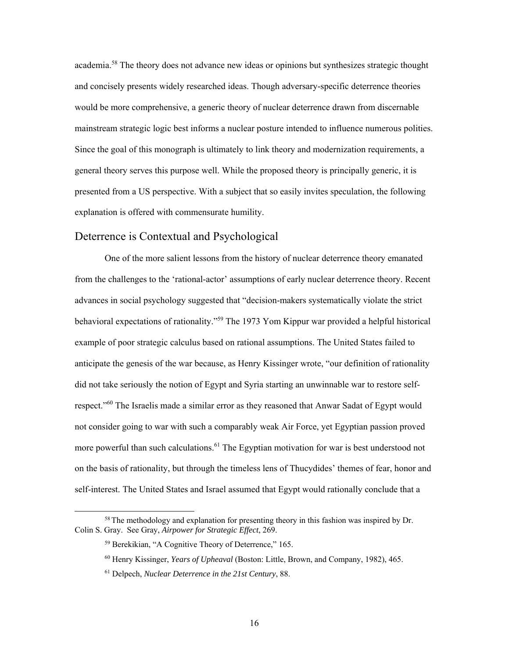<span id="page-23-0"></span> Since the goal of this monograph is ultimately to link theory and modernization requirements, a [academia.](https://academia.58)<sup>58</sup> The theory does not advance new ideas or opinions but synthesizes strategic thought and concisely presents widely researched ideas. Though adversary-specific deterrence theories would be more comprehensive, a generic theory of nuclear deterrence drawn from discernable mainstream strategic logic best informs a nuclear posture intended to influence numerous polities. general theory serves this purpose well. While the proposed theory is principally generic, it is presented from a US perspective. With a subject that so easily invites speculation, the following explanation is offered with commensurate humility.

#### Deterrence is Contextual and Psychological

 One of the more salient lessons from the history of nuclear deterrence theory emanated from the challenges to the 'rational-actor' assumptions of early nuclear deterrence theory. Recent advances in social psychology suggested that "decision-makers systematically violate the strict behavioral expectations of rationality."<sup>59</sup> The 1973 Yom Kippur war provided a helpful historical example of poor strategic calculus based on rational assumptions. The United States failed to anticipate the genesis of the war because, as Henry Kissinger wrote, "our definition of rationality did not take seriously the notion of Egypt and Syria starting an unwinnable war to restore selfrespect."<sup>60</sup> The Israelis made a similar error as they reasoned that Anwar Sadat of Egypt would not consider going to war with such a comparably weak Air Force, yet Egyptian passion proved more powerful than such [calculations.](https://calculations.61)<sup>61</sup> The Egyptian motivation for war is best understood not on the basis of rationality, but through the timeless lens of Thucydides' themes of fear, honor and self-interest. The United States and Israel assumed that Egypt would rationally conclude that a

-

<sup>&</sup>lt;sup>58</sup> The methodology and explanation for presenting theory in this fashion was inspired by Dr. Colin S. Gray. See Gray, *Airpower for Strategic Effect*, 269.

<sup>59</sup> Berekikian, "A Cognitive Theory of Deterrence," 165.

<sup>60</sup> Henry Kissinger, *Years of Upheaval* (Boston: Little, Brown, and Company, 1982), 465.

<sup>61</sup> Delpech, *Nuclear Deterrence in the 21st Century*, 88.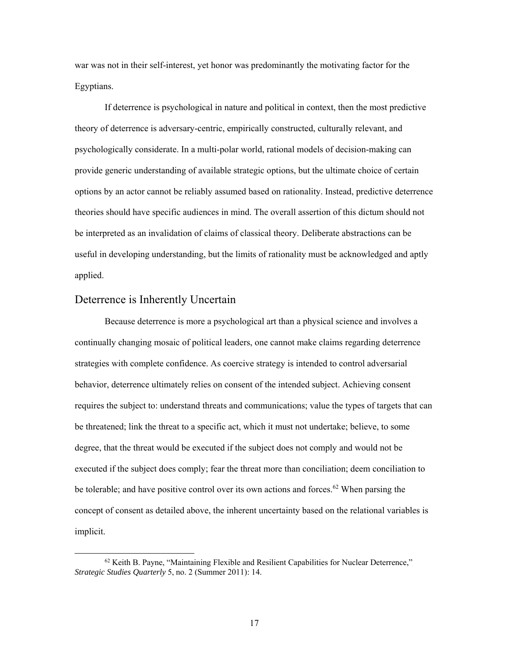<span id="page-24-0"></span>war was not in their self-interest, yet honor was predominantly the motivating factor for the Egyptians.

If deterrence is psychological in nature and political in context, then the most predictive theory of deterrence is adversary-centric, empirically constructed, culturally relevant, and psychologically considerate. In a multi-polar world, rational models of decision-making can provide generic understanding of available strategic options, but the ultimate choice of certain options by an actor cannot be reliably assumed based on rationality. Instead, predictive deterrence theories should have specific audiences in mind. The overall assertion of this dictum should not be interpreted as an invalidation of claims of classical theory. Deliberate abstractions can be useful in developing understanding, but the limits of rationality must be acknowledged and aptly applied.

#### Deterrence is Inherently Uncertain

-

Because deterrence is more a psychological art than a physical science and involves a continually changing mosaic of political leaders, one cannot make claims regarding deterrence strategies with complete confidence. As coercive strategy is intended to control adversarial behavior, deterrence ultimately relies on consent of the intended subject. Achieving consent requires the subject to: understand threats and communications; value the types of targets that can be threatened; link the threat to a specific act, which it must not undertake; believe, to some degree, that the threat would be executed if the subject does not comply and would not be executed if the subject does comply; fear the threat more than conciliation; deem conciliation to be tolerable; and have positive control over its own actions and [forces.](https://forces.62)<sup>62</sup> When parsing the concept of consent as detailed above, the inherent uncertainty based on the relational variables is implicit.

 *Strategic Studies Quarterly* 5, no. 2 (Summer 2011): 14.  $62$  Keith B. Payne, "Maintaining Flexible and Resilient Capabilities for Nuclear Deterrence,"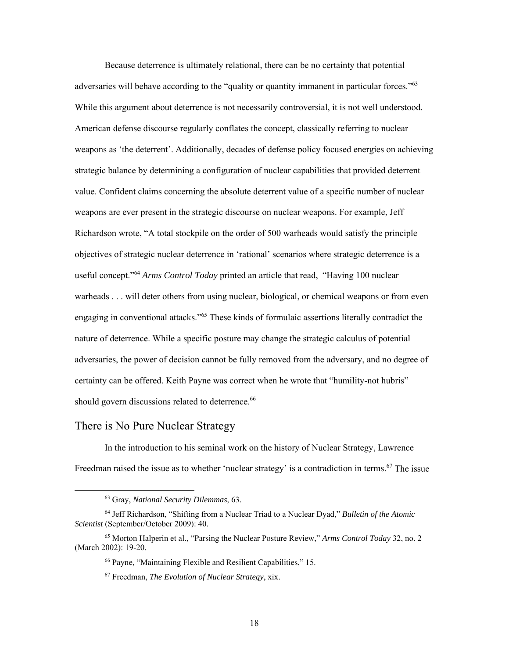<span id="page-25-0"></span>should govern discussions related to [deterrence.](https://deterrence.66)<sup>66</sup> Because deterrence is ultimately relational, there can be no certainty that potential adversaries will behave according to the "quality or quantity immanent in particular forces."<sup>63</sup> While this argument about deterrence is not necessarily controversial, it is not well understood. American defense discourse regularly conflates the concept, classically referring to nuclear weapons as 'the deterrent'. Additionally, decades of defense policy focused energies on achieving strategic balance by determining a configuration of nuclear capabilities that provided deterrent value. Confident claims concerning the absolute deterrent value of a specific number of nuclear weapons are ever present in the strategic discourse on nuclear weapons. For example, Jeff Richardson wrote, "A total stockpile on the order of 500 warheads would satisfy the principle objectives of strategic nuclear deterrence in 'rational' scenarios where strategic deterrence is a useful concept."64 *Arms Control Today* printed an article that read, "Having 100 nuclear warheads . . . will deter others from using nuclear, biological, or chemical weapons or from even engaging in conventional attacks."65 These kinds of formulaic assertions literally contradict the nature of deterrence. While a specific posture may change the strategic calculus of potential adversaries, the power of decision cannot be fully removed from the adversary, and no degree of certainty can be offered. Keith Payne was correct when he wrote that "humility-not hubris"

#### There is No Pure Nuclear Strategy

1

In the introduction to his seminal work on the history of Nuclear Strategy, Lawrence Freedman raised the issue as to whether 'nuclear strategy' is a contradiction in [terms.](https://terms.67)<sup>67</sup> The issue

<sup>63</sup> Gray, *National Security Dilemmas*, 63.

<sup>64</sup> Jeff Richardson, "Shifting from a Nuclear Triad to a Nuclear Dyad," *Bulletin of the Atomic Scientist* (September/October 2009): 40.

<sup>65</sup> Morton Halperin et al., "Parsing the Nuclear Posture Review," *Arms Control Today* 32, no. 2 (March 2002): 19-20.

<sup>66</sup> Payne, "Maintaining Flexible and Resilient Capabilities," 15.

<sup>67</sup> Freedman, *The Evolution of Nuclear Strategy*, xix.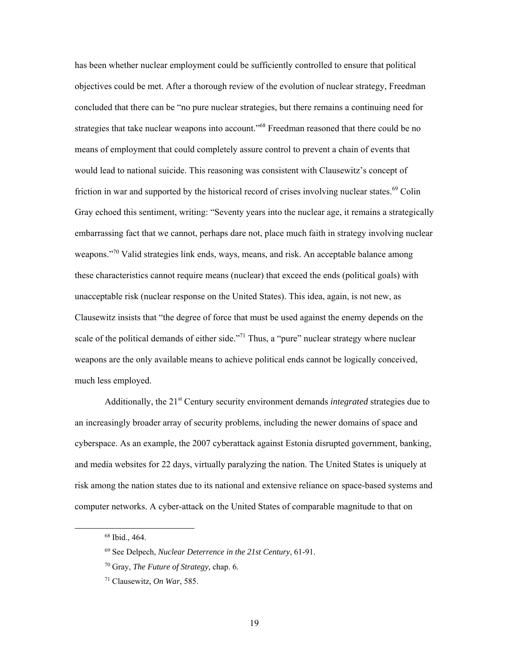has been whether nuclear employment could be sufficiently controlled to ensure that political objectives could be met. After a thorough review of the evolution of nuclear strategy, Freedman concluded that there can be "no pure nuclear strategies, but there remains a continuing need for strategies that take nuclear weapons into account."<sup>68</sup> Freedman reasoned that there could be no means of employment that could completely assure control to prevent a chain of events that would lead to national suicide. This reasoning was consistent with Clausewitz's concept of friction in war and supported by the historical record of crises involving nuclear [states.](https://states.69)<sup>69</sup> Colin Gray echoed this sentiment, writing: "Seventy years into the nuclear age, it remains a strategically embarrassing fact that we cannot, perhaps dare not, place much faith in strategy involving nuclear weapons."<sup>70</sup> Valid strategies link ends, ways, means, and risk. An acceptable balance among these characteristics cannot require means (nuclear) that exceed the ends (political goals) with unacceptable risk (nuclear response on the United States). This idea, again, is not new, as Clausewitz insists that "the degree of force that must be used against the enemy depends on the scale of the political demands of either side. $171$  Thus, a "pure" nuclear strategy where nuclear weapons are the only available means to achieve political ends cannot be logically conceived, much less employed.

Additionally, the 21st Century security environment demands *integrated* strategies due to an increasingly broader array of security problems, including the newer domains of space and cyberspace. As an example, the 2007 cyberattack against Estonia disrupted government, banking, and media websites for 22 days, virtually paralyzing the nation. The United States is uniquely at risk among the nation states due to its national and extensive reliance on space-based systems and computer networks. A cyber-attack on the United States of comparable magnitude to that on

 68 Ibid., 464.

<sup>69</sup> See Delpech, *Nuclear Deterrence in the 21st Century*, 61-91.

 70 Gray, *The Future of Strategy,* chap. 6.

<sup>71</sup> Clausewitz, *On War*, 585.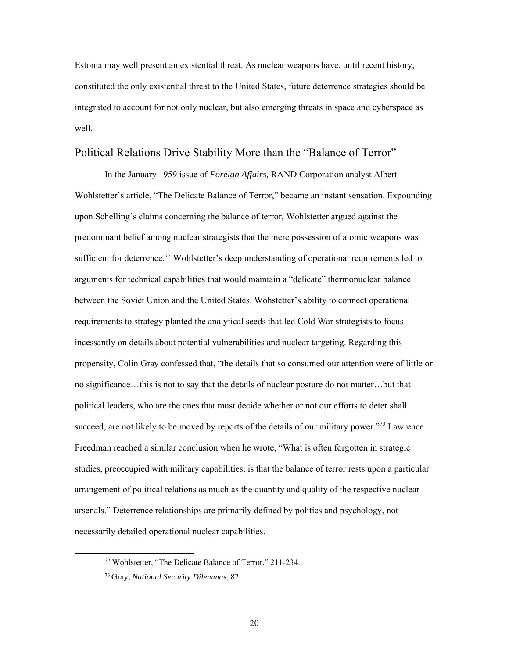<span id="page-27-0"></span>Estonia may well present an existential threat. As nuclear weapons have, until recent history, constituted the only existential threat to the United States, future deterrence strategies should be integrated to account for not only nuclear, but also emerging threats in space and cyberspace as well.

#### Political Relations Drive Stability More than the "Balance of Terror"

In the January 1959 issue of *Foreign Affairs,* RAND Corporation analyst Albert Wohlstetter's article, "The Delicate Balance of Terror," became an instant sensation. Expounding upon Schelling's claims concerning the balance of terror, Wohlstetter argued against the predominant belief among nuclear strategists that the mere possession of atomic weapons was sufficient for [deterrence.](https://deterrence.72)<sup>72</sup> Wohlstetter's deep understanding of operational requirements led to arguments for technical capabilities that would maintain a "delicate" thermonuclear balance between the Soviet Union and the United States. Wohstetter's ability to connect operational requirements to strategy planted the analytical seeds that led Cold War strategists to focus incessantly on details about potential vulnerabilities and nuclear targeting. Regarding this propensity, Colin Gray confessed that, "the details that so consumed our attention were of little or no significance…this is not to say that the details of nuclear posture do not matter…but that political leaders, who are the ones that must decide whether or not our efforts to deter shall succeed, are not likely to be moved by reports of the details of our military power."<sup>73</sup> Lawrence Freedman reached a similar conclusion when he wrote, "What is often forgotten in strategic studies, preoccupied with military capabilities, is that the balance of terror rests upon a particular arrangement of political relations as much as the quantity and quality of the respective nuclear arsenals." Deterrence relationships are primarily defined by politics and psychology, not necessarily detailed operational nuclear capabilities.

<sup>72</sup> Wohlstetter, "The Delicate Balance of Terror," 211-234.

<sup>73</sup> Gray, *National Security Dilemmas*, 82.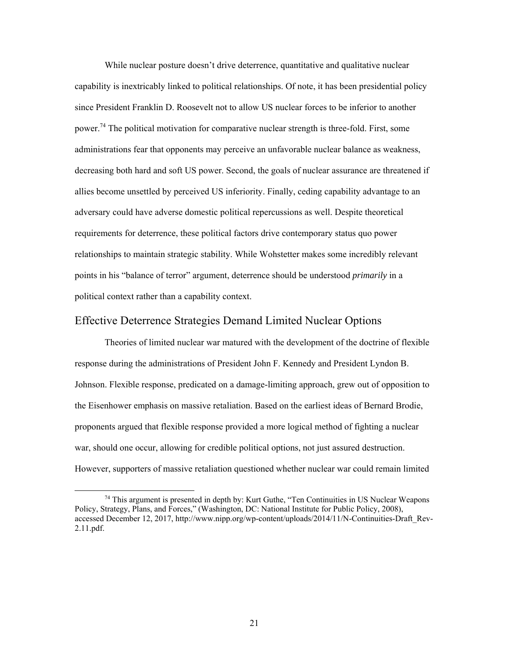<span id="page-28-0"></span>While nuclear posture doesn't drive deterrence, quantitative and qualitative nuclear capability is inextricably linked to political relationships. Of note, it has been presidential policy since President Franklin D. Roosevelt not to allow US nuclear forces to be inferior to another [power.](https://power.74)<sup>74</sup> The political motivation for comparative nuclear strength is three-fold. First, some administrations fear that opponents may perceive an unfavorable nuclear balance as weakness, decreasing both hard and soft US power. Second, the goals of nuclear assurance are threatened if allies become unsettled by perceived US inferiority. Finally, ceding capability advantage to an adversary could have adverse domestic political repercussions as well. Despite theoretical requirements for deterrence, these political factors drive contemporary status quo power relationships to maintain strategic stability. While Wohstetter makes some incredibly relevant points in his "balance of terror" argument, deterrence should be understood *primarily* in a political context rather than a capability context.

#### Effective Deterrence Strategies Demand Limited Nuclear Options

Theories of limited nuclear war matured with the development of the doctrine of flexible response during the administrations of President John F. Kennedy and President Lyndon B. Johnson. Flexible response, predicated on a damage-limiting approach, grew out of opposition to the Eisenhower emphasis on massive retaliation. Based on the earliest ideas of Bernard Brodie, proponents argued that flexible response provided a more logical method of fighting a nuclear war, should one occur, allowing for credible political options, not just assured destruction. However, supporters of massive retaliation questioned whether nuclear war could remain limited

<sup>&</sup>lt;sup>74</sup> This argument is presented in depth by: Kurt Guthe, "Ten Continuities in US Nuclear Weapons Policy, Strategy, Plans, and Forces," (Washington, DC: National Institute for Public Policy, 2008), accessed December 12, 2017, http://www.nipp.org/wp-content/uploads/2014/11/N-Continuities-Draft Rev-2.11.pdf.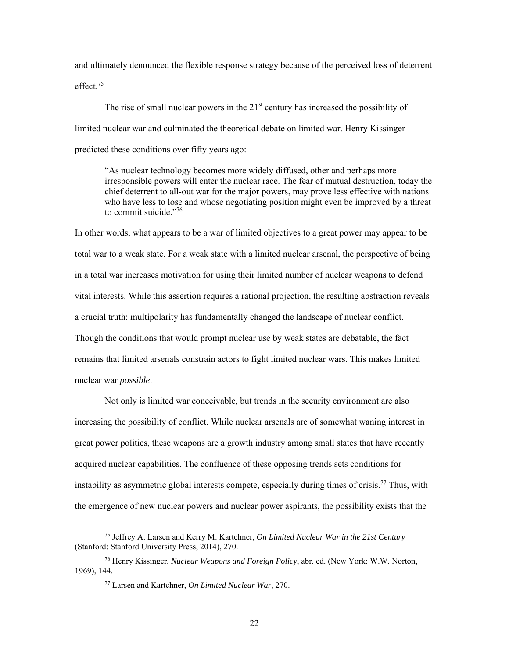[effect.](https://effect.75)<sup>75</sup> and ultimately denounced the flexible response strategy because of the perceived loss of deterrent

The rise of small nuclear powers in the  $21<sup>st</sup>$  century has increased the possibility of limited nuclear war and culminated the theoretical debate on limited war. Henry Kissinger predicted these conditions over fifty years ago:

"As nuclear technology becomes more widely diffused, other and perhaps more irresponsible powers will enter the nuclear race. The fear of mutual destruction, today the chief deterrent to all-out war for the major powers, may prove less effective with nations who have less to lose and whose negotiating position might even be improved by a threat to commit suicide."<sup>76</sup>

In other words, what appears to be a war of limited objectives to a great power may appear to be total war to a weak state. For a weak state with a limited nuclear arsenal, the perspective of being in a total war increases motivation for using their limited number of nuclear weapons to defend vital interests. While this assertion requires a rational projection, the resulting abstraction reveals a crucial truth: multipolarity has fundamentally changed the landscape of nuclear conflict. Though the conditions that would prompt nuclear use by weak states are debatable, the fact remains that limited arsenals constrain actors to fight limited nuclear wars. This makes limited nuclear war *possible*.

Not only is limited war conceivable, but trends in the security environment are also increasing the possibility of conflict. While nuclear arsenals are of somewhat waning interest in great power politics, these weapons are a growth industry among small states that have recently acquired nuclear capabilities. The confluence of these opposing trends sets conditions for instability as asymmetric global interests compete, especially during times of [crisis.](https://crisis.77)<sup>77</sup> Thus, with the emergence of new nuclear powers and nuclear power aspirants, the possibility exists that the

-

<sup>75</sup> Jeffrey A. Larsen and Kerry M. Kartchner, *On Limited Nuclear War in the 21st Century*  (Stanford: Stanford University Press, 2014), 270.

<sup>76</sup> Henry Kissinger, *Nuclear Weapons and Foreign Policy*, abr. ed. (New York: W.W. Norton, 1969), 144.

<sup>77</sup> Larsen and Kartchner, *On Limited Nuclear War*, 270.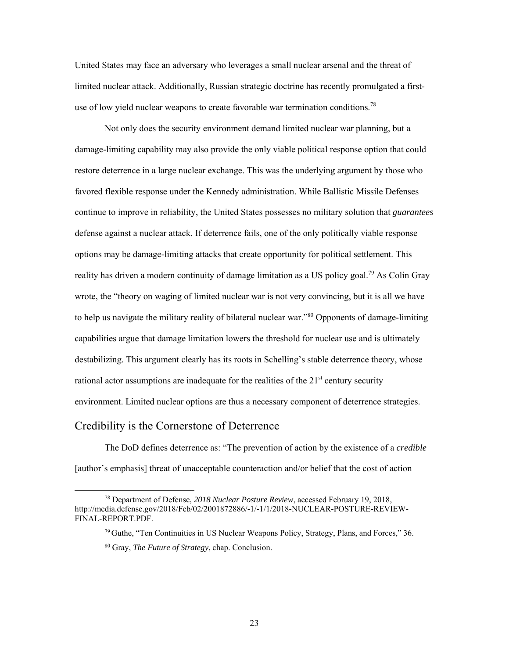<span id="page-30-0"></span>United States may face an adversary who leverages a small nuclear arsenal and the threat of limited nuclear attack. Additionally, Russian strategic doctrine has recently promulgated a firstuse of low yield nuclear weapons to create favorable war termination conditions.<sup>78</sup>

to help us navigate the military reality of bilateral nuclear war."<sup>80</sup> Opponents of damage-limiting Not only does the security environment demand limited nuclear war planning, but a damage-limiting capability may also provide the only viable political response option that could restore deterrence in a large nuclear exchange. This was the underlying argument by those who favored flexible response under the Kennedy administration. While Ballistic Missile Defenses continue to improve in reliability, the United States possesses no military solution that *guarantees*  defense against a nuclear attack. If deterrence fails, one of the only politically viable response options may be damage-limiting attacks that create opportunity for political settlement. This reality has driven a modern continuity of damage limitation as a US policy goal.<sup>79</sup> As Colin Gray wrote, the "theory on waging of limited nuclear war is not very convincing, but it is all we have capabilities argue that damage limitation lowers the threshold for nuclear use and is ultimately destabilizing. This argument clearly has its roots in Schelling's stable deterrence theory, whose rational actor assumptions are inadequate for the realities of the  $21<sup>st</sup>$  century security environment. Limited nuclear options are thus a necessary component of deterrence strategies.

#### Credibility is the Cornerstone of Deterrence

l

The DoD defines deterrence as: "The prevention of action by the existence of a *credible*  [author's emphasis] threat of unacceptable counteraction and/or belief that the cost of action

<sup>78</sup> Department of Defense, *2018 Nuclear Posture Review*, accessed February 19, 2018, <http://media.defense.gov/2018/Feb/02/2001872886/-1/-1/1/2018-NUCLEAR-POSTURE-REVIEW>-FINAL-REPORT.PDF.

<sup>&</sup>lt;sup>79</sup> Guthe, "Ten Continuities in US Nuclear Weapons Policy, Strategy, Plans, and Forces," 36.

<sup>80</sup> Gray, *The Future of Strategy*, chap. Conclusion.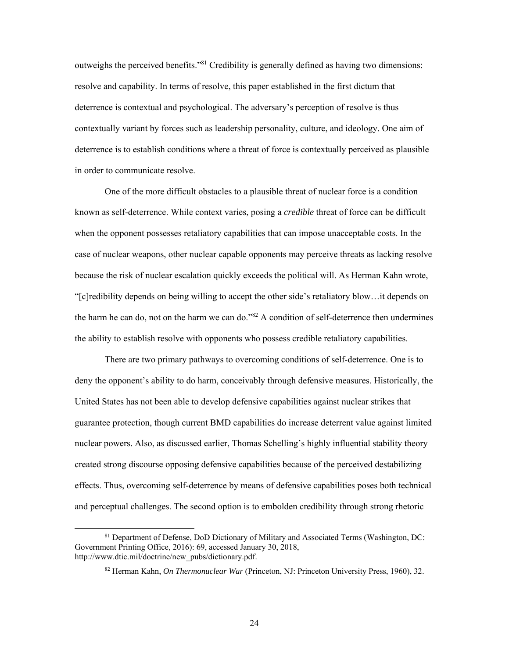outweighs the perceived benefits."81 Credibility is generally defined as having two dimensions: resolve and capability. In terms of resolve, this paper established in the first dictum that deterrence is contextual and psychological. The adversary's perception of resolve is thus contextually variant by forces such as leadership personality, culture, and ideology. One aim of deterrence is to establish conditions where a threat of force is contextually perceived as plausible in order to communicate resolve.

One of the more difficult obstacles to a plausible threat of nuclear force is a condition known as self-deterrence. While context varies, posing a *credible* threat of force can be difficult when the opponent possesses retaliatory capabilities that can impose unacceptable costs. In the case of nuclear weapons, other nuclear capable opponents may perceive threats as lacking resolve because the risk of nuclear escalation quickly exceeds the political will. As Herman Kahn wrote, "[c]redibility depends on being willing to accept the other side's retaliatory blow…it depends on the harm he can do, not on the harm we can do."<sup>82</sup> A condition of self-deterrence then undermines the ability to establish resolve with opponents who possess credible retaliatory capabilities.

 There are two primary pathways to overcoming conditions of self-deterrence. One is to deny the opponent's ability to do harm, conceivably through defensive measures. Historically, the United States has not been able to develop defensive capabilities against nuclear strikes that guarantee protection, though current BMD capabilities do increase deterrent value against limited nuclear powers. Also, as discussed earlier, Thomas Schelling's highly influential stability theory created strong discourse opposing defensive capabilities because of the perceived destabilizing effects. Thus, overcoming self-deterrence by means of defensive capabilities poses both technical and perceptual challenges. The second option is to embolden credibility through strong rhetoric

<sup>81</sup> Department of Defense, DoD Dictionary of Military and Associated Terms (Washington, DC: Government Printing Office, 2016): 69, accessed January 30, 2018, [http://www.dtic.mil/doctrine/new\\_pubs/dictionary.pdf.](http://www.dtic.mil/doctrine/new_pubs/dictionary.pdf)

<sup>82</sup> Herman Kahn, *On Thermonuclear War* (Princeton, NJ: Princeton University Press, 1960), 32.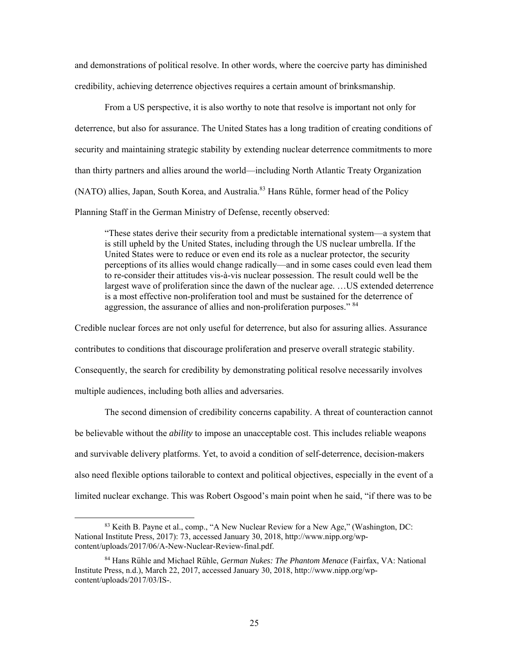and demonstrations of political resolve. In other words, where the coercive party has diminished credibility, achieving deterrence objectives requires a certain amount of brinksmanship.

From a US perspective, it is also worthy to note that resolve is important not only for deterrence, but also for assurance. The United States has a long tradition of creating conditions of security and maintaining strategic stability by extending nuclear deterrence commitments to more than thirty partners and allies around the world—including North Atlantic Treaty Organization (NATO) allies, Japan, South Korea, and [Australia.](https://Australia.83)<sup>83</sup> Hans Rühle, former head of the Policy Planning Staff in the German Ministry of Defense, recently observed:

 "These states derive their security from a predictable international system—a system that is still upheld by the United States, including through the US nuclear umbrella. If the United States were to reduce or even end its role as a nuclear protector, the security perceptions of its allies would change radically—and in some cases could even lead them to re-consider their attitudes vis-à-vis nuclear possession. The result could well be the largest wave of proliferation since the dawn of the nuclear age. …US extended deterrence is a most effective non-proliferation tool and must be sustained for the deterrence of aggression, the assurance of allies and non-proliferation purposes." <sup>84</sup>

 Credible nuclear forces are not only useful for deterrence, but also for assuring allies. Assurance contributes to conditions that discourage proliferation and preserve overall strategic stability. Consequently, the search for credibility by demonstrating political resolve necessarily involves multiple audiences, including both allies and adversaries.

The second dimension of credibility concerns capability. A threat of counteraction cannot be believable without the *ability* to impose an unacceptable cost. This includes reliable weapons and survivable delivery platforms. Yet, to avoid a condition of self-deterrence, decision-makers also need flexible options tailorable to context and political objectives, especially in the event of a limited nuclear exchange. This was Robert Osgood's main point when he said, "if there was to be

 content/uploads/2017/06/A-New-Nuclear-Review-final.pdf. <sup>83</sup> Keith B. Payne et al., comp., "A New Nuclear Review for a New Age," (Washington, DC: National Institute Press, 2017): 73, accessed January 30, 2018, [http://www.nipp.org/wp-](http://www.nipp.org/wp)

<sup>84</sup> Hans Rühle and Michael Rühle, *German Nukes: The Phantom Menace* (Fairfax, VA: National Institute Press, n.d.), March 22, 2017, accessed January 30, 2018,<http://www.nipp.org/wp>content/uploads/2017/03/IS-.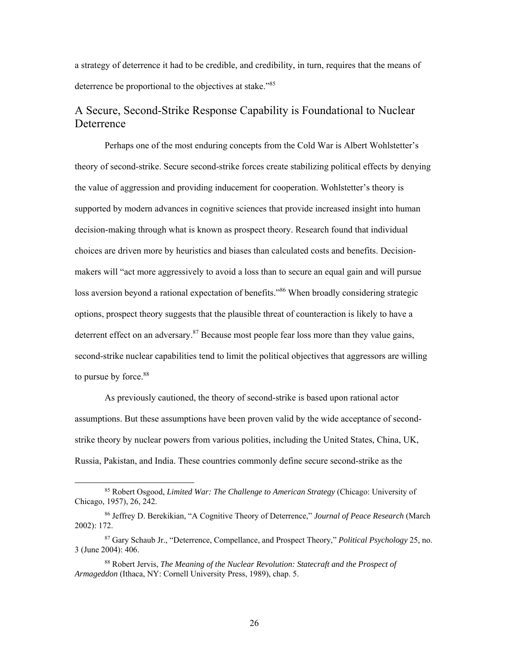<span id="page-33-0"></span>a strategy of deterrence it had to be credible, and credibility, in turn, requires that the means of deterrence be proportional to the objectives at stake."<sup>85</sup>

### A Secure, Second-Strike Response Capability is Foundational to Nuclear **Deterrence**

Perhaps one of the most enduring concepts from the Cold War is Albert Wohlstetter's theory of second-strike. Secure second-strike forces create stabilizing political effects by denying the value of aggression and providing inducement for cooperation. Wohlstetter's theory is supported by modern advances in cognitive sciences that provide increased insight into human decision-making through what is known as prospect theory. Research found that individual choices are driven more by heuristics and biases than calculated costs and benefits. Decisionmakers will "act more aggressively to avoid a loss than to secure an equal gain and will pursue loss aversion beyond a rational expectation of benefits."<sup>86</sup> When broadly considering strategic options, prospect theory suggests that the plausible threat of counteraction is likely to have a deterrent effect on an adversary. $87$  Because most people fear loss more than they value gains, second-strike nuclear capabilities tend to limit the political objectives that aggressors are willing to pursue by [force.](https://force.88)<sup>88</sup>

As previously cautioned, the theory of second-strike is based upon rational actor assumptions. But these assumptions have been proven valid by the wide acceptance of secondstrike theory by nuclear powers from various polities, including the United States, China, UK, Russia, Pakistan, and India. These countries commonly define secure second-strike as the

-

<sup>85</sup> Robert Osgood, *Limited War: The Challenge to American Strategy* (Chicago: University of Chicago, 1957), 26, 242.

<sup>86</sup> Jeffrey D. Berekikian, "A Cognitive Theory of Deterrence," *Journal of Peace Research* (March 2002): 172.

 87 Gary Schaub Jr., "Deterrence, Compellance, and Prospect Theory," *Political Psychology* 25, no. 3 (June 2004): 406.

 88 Robert Jervis, *The Meaning of the Nuclear Revolution: Statecraft and the Prospect of Armageddon* (Ithaca, NY: Cornell University Press, 1989), chap. 5.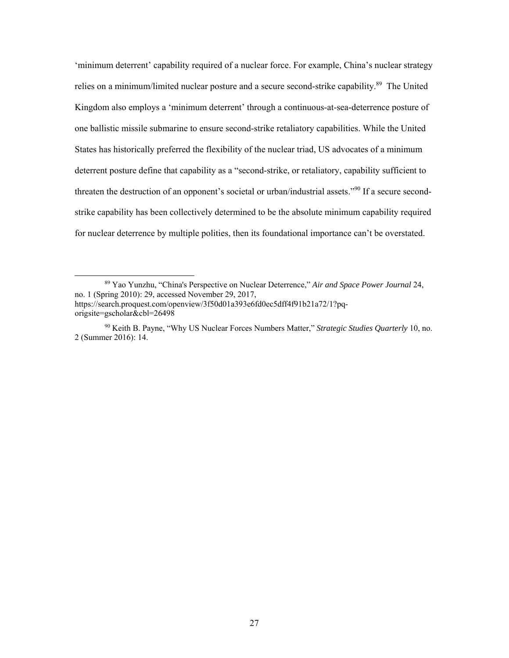'minimum deterrent' capability required of a nuclear force. For example, China's nuclear strategy relies on a minimum/limited nuclear posture and a secure second-strike capability.<sup>89</sup> The United Kingdom also employs a 'minimum deterrent' through a continuous-at-sea-deterrence posture of one ballistic missile submarine to ensure second-strike retaliatory capabilities. While the United States has historically preferred the flexibility of the nuclear triad, US advocates of a minimum deterrent posture define that capability as a "second-strike, or retaliatory, capability sufficient to threaten the destruction of an opponent's societal or urban/industrial assets."<sup>90</sup> If a secure secondstrike capability has been collectively determined to be the absolute minimum capability required for nuclear deterrence by multiple polities, then its foundational importance can't be overstated.

<sup>89</sup> Yao Yunzhu, "China's Perspective on Nuclear Deterrence," *Air and Space Power Journal* 24, no. 1 (Spring 2010): 29, accessed November 29, 2017, [https://search.proquest.com/openview/3f50d01a393e6fd0ec5dff4f91b21a72/1?pq-](https://search.proquest.com/openview/3f50d01a393e6fd0ec5dff4f91b21a72/1?pq)

origsite=gscholar&cbl=26498

 2 (Summer 2016): 14. 90 Keith B. Payne, "Why US Nuclear Forces Numbers Matter," *Strategic Studies Quarterly* 10, no.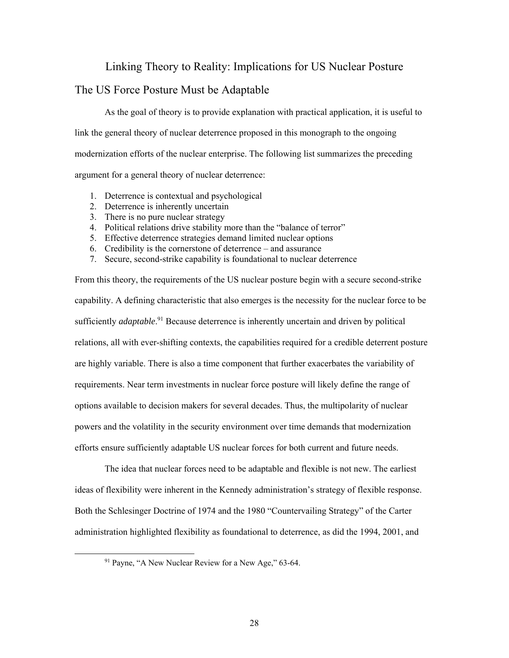#### Linking Theory to Reality: Implications for US Nuclear Posture

#### <span id="page-35-0"></span>The US Force Posture Must be Adaptable

As the goal of theory is to provide explanation with practical application, it is useful to link the general theory of nuclear deterrence proposed in this monograph to the ongoing modernization efforts of the nuclear enterprise. The following list summarizes the preceding argument for a general theory of nuclear deterrence:

- 1. Deterrence is contextual and psychological
- 2. Deterrence is inherently uncertain
- 3. There is no pure nuclear strategy
- 4. Political relations drive stability more than the "balance of terror"
- 5. Effective deterrence strategies demand limited nuclear options
- 6. Credibility is the cornerstone of deterrence and assurance
- 7. Secure, second-strike capability is foundational to nuclear deterrence

From this theory, the requirements of the US nuclear posture begin with a secure second-strike capability. A defining characteristic that also emerges is the necessity for the nuclear force to be sufficiently *[adaptable](https://adaptable.91)*.<sup>91</sup> Because deterrence is inherently uncertain and driven by political relations, all with ever-shifting contexts, the capabilities required for a credible deterrent posture are highly variable. There is also a time component that further exacerbates the variability of requirements. Near term investments in nuclear force posture will likely define the range of options available to decision makers for several decades. Thus, the multipolarity of nuclear powers and the volatility in the security environment over time demands that modernization efforts ensure sufficiently adaptable US nuclear forces for both current and future needs.

The idea that nuclear forces need to be adaptable and flexible is not new. The earliest ideas of flexibility were inherent in the Kennedy administration's strategy of flexible response. Both the Schlesinger Doctrine of 1974 and the 1980 "Countervailing Strategy" of the Carter administration highlighted flexibility as foundational to deterrence, as did the 1994, 2001, and

<sup>&</sup>lt;sup>91</sup> Payne, "A New Nuclear Review for a New Age," 63-64.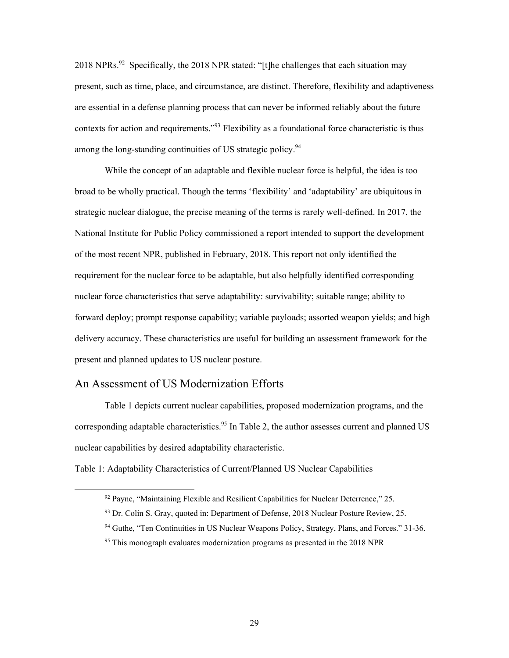<span id="page-36-0"></span>2018 NPRs.<sup>92</sup> Specifically, the 2018 NPR stated: "[t]he challenges that each situation may present, such as time, place, and circumstance, are distinct. Therefore, flexibility and adaptiveness are essential in a defense planning process that can never be informed reliably about the future contexts for action and requirements."<sup>93</sup> Flexibility as a foundational force characteristic is thus among the long-standing continuities of US strategic policy.<sup>94</sup>

While the concept of an adaptable and flexible nuclear force is helpful, the idea is too broad to be wholly practical. Though the terms 'flexibility' and 'adaptability' are ubiquitous in strategic nuclear dialogue, the precise meaning of the terms is rarely well-defined. In 2017, the National Institute for Public Policy commissioned a report intended to support the development of the most recent NPR, published in February, 2018. This report not only identified the requirement for the nuclear force to be adaptable, but also helpfully identified corresponding nuclear force characteristics that serve adaptability: survivability; suitable range; ability to forward deploy; prompt response capability; variable payloads; assorted weapon yields; and high delivery accuracy. These characteristics are useful for building an assessment framework for the present and planned updates to US nuclear posture.

#### An Assessment of US Modernization Efforts

 $\overline{\phantom{a}}$ 

Table 1 depicts current nuclear capabilities, proposed modernization programs, and the corresponding adaptable [characteristics.](https://characteristics.95)<sup>95</sup> In Table 2, the author assesses current and planned US nuclear capabilities by desired adaptability characteristic.

Table 1: Adaptability Characteristics of Current/Planned US Nuclear Capabilities

 $92$  Payne, "Maintaining Flexible and Resilient Capabilities for Nuclear Deterrence," 25.

<sup>93</sup> Dr. Colin S. Gray, quoted in: Department of Defense, 2018 Nuclear Posture Review, 25.

<sup>94</sup> Guthe, "Ten Continuities in US Nuclear Weapons Policy, Strategy, Plans, and Forces." 31-36.

<sup>&</sup>lt;sup>95</sup> This monograph evaluates modernization programs as presented in the 2018 NPR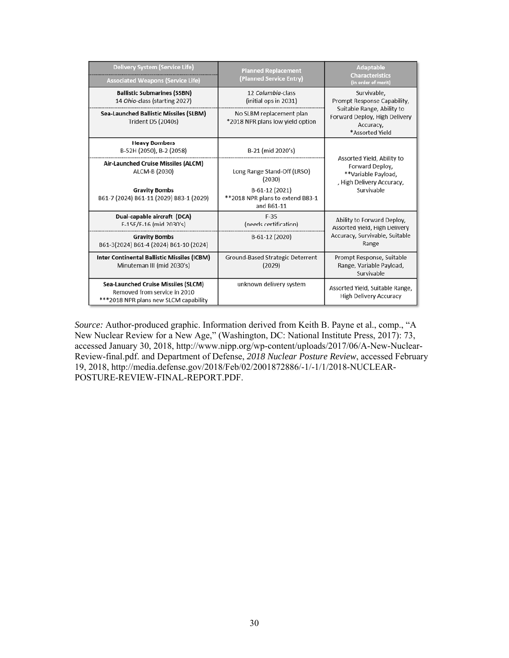| <b>Delivery System (Service Life)</b><br><b>Associated Weapons (Service Life)</b>                                   | <b>Planned Replacement</b><br>(Planned Service Entry)            | <b>Adaptable</b><br><b>Characteristics</b><br>(in order of merit)                                               |  |
|---------------------------------------------------------------------------------------------------------------------|------------------------------------------------------------------|-----------------------------------------------------------------------------------------------------------------|--|
| <b>Ballistic Submarines (SSBN)</b><br>14 Ohio-class (starting 2027)                                                 | 12 Columbia-class<br>(initial ops in 2031)                       | Survivable,<br>Prompt Response Capability,                                                                      |  |
| <b>Sea-Launched Ballistic Missiles (SLBM)</b><br><b>Trident D5 (2040s)</b>                                          | No SLBM replacement plan<br>*2018 NPR plans low yield option     | Suitable Range, Ability to<br>Forward Deploy, High Delivery<br>Accuracy,<br>*Assorted Yield                     |  |
| <b>Heavy Bombers</b><br>B-52H (2050), B-2 (2058)                                                                    | B-21 (mid 2020's)                                                |                                                                                                                 |  |
| Air-Launched Cruise Missiles (ALCM)<br>ALCM-B (2030)                                                                | Long Range Stand-Off (LRSO)<br>(2030)                            | Assorted Yield, Ability to<br>Forward Deploy,<br>**Variable Payload,<br>, High Delivery Accuracy,<br>Survivable |  |
| <b>Gravity Bombs</b><br>B61-7 (2024) B61-11 (2029) B83-1 (2029)                                                     | B-61-12 (2021)<br>**2018 NPR plans to extend B83-1<br>and B61-11 |                                                                                                                 |  |
| Dual-capable aircraft (DCA)<br>F-15E/F-16 (mid 2030's)                                                              | $F-35$<br>(needs certification)                                  | Ability to Forward Deploy,<br>Assorted yield, High Delivery<br>Accuracy, Survivable, Suitable<br>Range          |  |
| <b>Gravity Bombs</b><br>B61-3(2024) B61-4 (2024) B61-10 (2024)                                                      | B-61-12 (2020)                                                   |                                                                                                                 |  |
| <b>Inter Continental Ballistic Missiles (ICBM)</b><br>Minuteman III (mid 2030's)                                    | Ground-Based Strategic Deterrent<br>(2029)                       | Prompt Response, Suitable<br>Range, Variable Payload,<br>Survivable                                             |  |
| <b>Sea-Launched Cruise Missiles (SLCM)</b><br>Removed from service in 2010<br>***2018 NPR plans new SLCM capability | unknown delivery system                                          | Assorted Yield, Suitable Range,<br><b>High Delivery Accuracy</b>                                                |  |

 New Nuclear Review for a New Age," (Washington, DC: National Institute Press, 2017): 73, *Source:* Author-produced graphic. Information derived from Keith B. Payne et al., comp., "A accessed January 30, 2018, [http://www.nipp.org/wp-content/uploads/2017/06/A-New-Nuclear-](http://www.nipp.org/wp-content/uploads/2017/06/A-New-Nuclear)Review-final.pdf. and Department of Defense, *2018 Nuclear Posture Review*, accessed February 19, 2018, <http://media.defense.gov/2018/Feb/02/2001872886/-1/-1/1/2018-NUCLEAR>-POSTURE-REVIEW-FINAL-REPORT.PDF.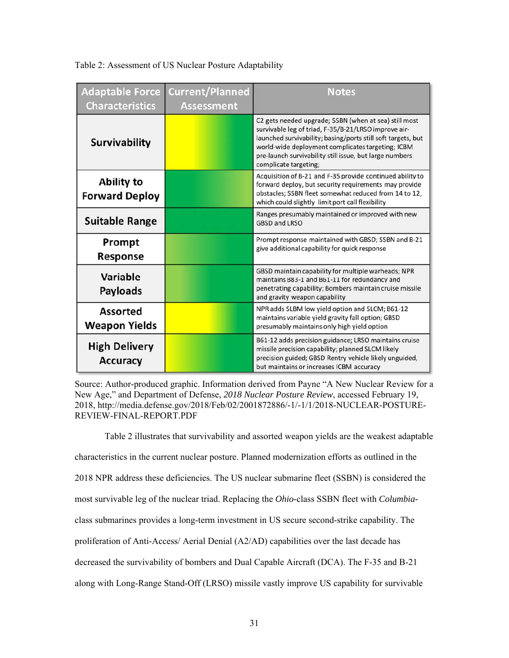| <b>Adaptable Force</b><br><b>Characteristics</b> | <b>Current/Planned</b><br><b>Assessment</b> | <b>Notes</b>                                                                                                                                                                                                                                                                                                           |
|--------------------------------------------------|---------------------------------------------|------------------------------------------------------------------------------------------------------------------------------------------------------------------------------------------------------------------------------------------------------------------------------------------------------------------------|
| <b>Survivability</b>                             |                                             | C2 gets needed upgrade; SSBN (when at sea) still most<br>survivable leg of triad, F-35/B-21/LRSO improve air-<br>launched survivability; basing/ports still soft targets, but<br>world-wide deployment complicates targeting; ICBM<br>pre-launch survivability still issue, but large numbers<br>complicate targeting; |
| <b>Ability to</b><br><b>Forward Deploy</b>       |                                             | Acquisition of B-21 and F-35 provide continued ability to<br>forward deploy, but security requirements may provide<br>obstacles; SSBN fleet somewhat reduced from 14 to 12,<br>which could slightly limit port call flexibility                                                                                        |
| <b>Suitable Range</b>                            |                                             | Ranges presumably maintained or improved with new<br><b>GBSD and LRSO</b>                                                                                                                                                                                                                                              |
| Prompt<br>Response                               |                                             | Prompt response maintained with GBSD; SSBN and B-21<br>give additional capability for quick response                                                                                                                                                                                                                   |
| <b>Variable</b><br><b>Payloads</b>               |                                             | GBSD maintain capability for multiple warheads; NPR<br>maintains B83-1 and B61-11 for redundancy and<br>penetrating capability; Bombers maintain cruise missile<br>and gravity weapon capability                                                                                                                       |
| <b>Assorted</b><br><b>Weapon Yields</b>          |                                             | NPR adds SLBM low yield option and SLCM; B61-12<br>maintains variable yield gravity fall option; GBSD<br>presumably maintains only high yield option                                                                                                                                                                   |
| <b>High Delivery</b><br><b>Accuracy</b>          |                                             | B61-12 adds precision guidance; LRSO maintains cruise<br>missile precision capability; planned SLCM likely<br>precision guided; GBSD Rentry vehicle likely unguided,<br>but maintains or increases ICBM accuracy                                                                                                       |

#### <span id="page-38-0"></span>Table 2: Assessment of US Nuclear Posture Adaptability

Source: Author-produced graphic. Information derived from Payne "A New Nuclear Review for a New Age," and Department of Defense, *2018 Nuclear Posture Review*, accessed February 19, 2018,<http://media.defense.gov/2018/Feb/02/2001872886/-1/-1/1/2018-NUCLEAR-POSTURE>-REVIEW-FINAL-REPORT.PDF

Table 2 illustrates that survivability and assorted weapon yields are the weakest adaptable characteristics in the current nuclear posture. Planned modernization efforts as outlined in the 2018 NPR address these deficiencies. The US nuclear submarine fleet (SSBN) is considered the most survivable leg of the nuclear triad. Replacing the *Ohio-*class SSBN fleet with *Columbia*class submarines provides a long-term investment in US secure second-strike capability. The proliferation of Anti-Access/ Aerial Denial (A2/AD) capabilities over the last decade has decreased the survivability of bombers and Dual Capable Aircraft (DCA). The F-35 and B-21 along with Long-Range Stand-Off (LRSO) missile vastly improve US capability for survivable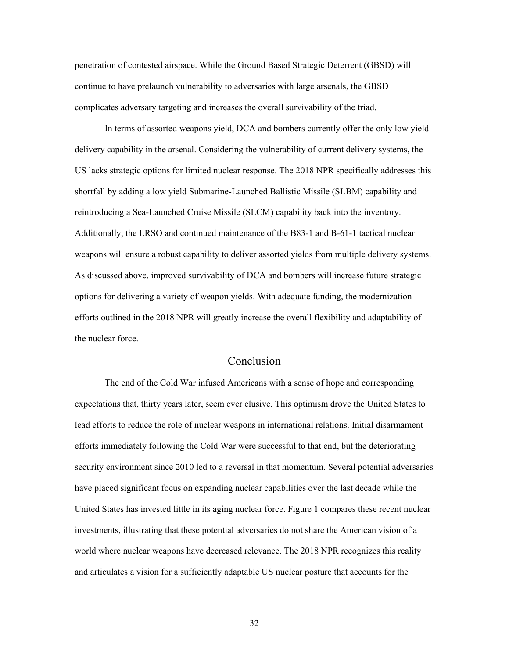<span id="page-39-0"></span>penetration of contested airspace. While the Ground Based Strategic Deterrent (GBSD) will continue to have prelaunch vulnerability to adversaries with large arsenals, the GBSD complicates adversary targeting and increases the overall survivability of the triad.

In terms of assorted weapons yield, DCA and bombers currently offer the only low yield delivery capability in the arsenal. Considering the vulnerability of current delivery systems, the US lacks strategic options for limited nuclear response. The 2018 NPR specifically addresses this shortfall by adding a low yield Submarine-Launched Ballistic Missile (SLBM) capability and reintroducing a Sea-Launched Cruise Missile (SLCM) capability back into the inventory. Additionally, the LRSO and continued maintenance of the B83-1 and B-61-1 tactical nuclear weapons will ensure a robust capability to deliver assorted yields from multiple delivery systems. As discussed above, improved survivability of DCA and bombers will increase future strategic options for delivering a variety of weapon yields. With adequate funding, the modernization efforts outlined in the 2018 NPR will greatly increase the overall flexibility and adaptability of the nuclear force.

#### Conclusion

The end of the Cold War infused Americans with a sense of hope and corresponding expectations that, thirty years later, seem ever elusive. This optimism drove the United States to lead efforts to reduce the role of nuclear weapons in international relations. Initial disarmament efforts immediately following the Cold War were successful to that end, but the deteriorating security environment since 2010 led to a reversal in that momentum. Several potential adversaries have placed significant focus on expanding nuclear capabilities over the last decade while the United States has invested little in its aging nuclear force. Figure 1 compares these recent nuclear investments, illustrating that these potential adversaries do not share the American vision of a world where nuclear weapons have decreased relevance. The 2018 NPR recognizes this reality and articulates a vision for a sufficiently adaptable US nuclear posture that accounts for the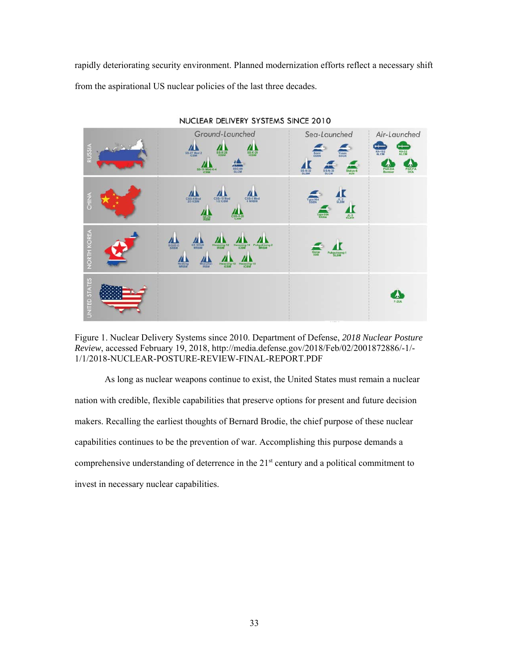<span id="page-40-0"></span> from the aspirational US nuclear policies of the last three decades. rapidly deteriorating security environment. Planned modernization efforts reflect a necessary shift



Figure 1. Nuclear Delivery Systems since 2010. Department of Defense, *2018 Nuclear Posture Review*, accessed February 19, 2018, [http://media.defense.gov/2018/Feb/02/2001872886/-1/](http://media.defense.gov/2018/Feb/02/2001872886/-1)- 1/1/2018-NUCLEAR-POSTURE-REVIEW-FINAL-REPORT.PDF

As long as nuclear weapons continue to exist, the United States must remain a nuclear nation with credible, flexible capabilities that preserve options for present and future decision makers. Recalling the earliest thoughts of Bernard Brodie, the chief purpose of these nuclear capabilities continues to be the prevention of war. Accomplishing this purpose demands a comprehensive understanding of deterrence in the  $21<sup>st</sup>$  century and a political commitment to invest in necessary nuclear capabilities.

NUCLEAR DELIVERY SYSTEMS SINCE 2010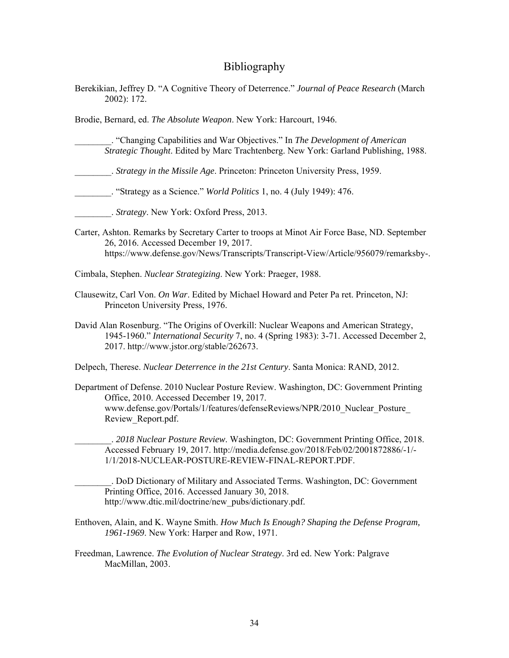#### Bibliography

<span id="page-41-0"></span>Berekikian, Jeffrey D. "A Cognitive Theory of Deterrence." *Journal of Peace Research* (March 2002): 172.

Brodie, Bernard, ed. *The Absolute Weapon*. New York: Harcourt, 1946.

- \_\_\_\_\_\_\_\_. "Changing Capabilities and War Objectives." In *The Development of American Strategic Thought*. Edited by Marc Trachtenberg. New York: Garland Publishing, 1988.
- \_\_\_\_\_\_\_\_. *Strategy in the Missile Age*. Princeton: Princeton University Press, 1959.
- \_\_\_\_\_\_\_\_. "Strategy as a Science." *World Politics* 1, no. 4 (July 1949): 476.
- \_\_\_\_\_\_\_\_. *Strategy*. New York: Oxford Press, 2013.
- Carter, Ashton. Remarks by Secretary Carter to troops at Minot Air Force Base, ND. September 26, 2016. Accessed December 19, 2017. <https://www.defense.gov/News/Transcripts/Transcript-View/Article/956079/remarksby>-.
- Cimbala, Stephen. *Nuclear Strategizing*. New York: Praeger, 1988.
- Clausewitz, Carl Von. *On War*. Edited by Michael Howard and Peter Pa ret. Princeton, NJ: Princeton University Press, 1976.
- David Alan Rosenburg. "The Origins of Overkill: Nuclear Weapons and American Strategy, 1945-1960." *International Security* 7, no. 4 (Spring 1983): 3-71. Accessed December 2, 2017.<http://www.jstor.org/stable/262673>.
- Delpech, Therese. *Nuclear Deterrence in the 21st Century*. Santa Monica: RAND, 2012.
- Department of Defense. 2010 Nuclear Posture Review. Washington, DC: Government Printing Office, 2010. Accessed December 19, 2017. [www.defense.gov/Portals/1/features/defenseReviews/NPR/2010\\_Nuclear\\_Posture](www.defense.gov/Portals/1/features/defenseReviews/NPR/2010_Nuclear_Posture)\_ Review\_Report.pdf.
	- \_\_\_\_\_\_\_\_. *2018 Nuclear Posture Review*. Washington, DC: Government Printing Office, 2018. Accessed February 19, 2017. <http://media.defense.gov/2018/Feb/02/2001872886/-1>/- 1/1/2018-NUCLEAR-POSTURE-REVIEW-FINAL-REPORT.PDF.
	- \_\_\_\_\_\_\_\_. DoD Dictionary of Military and Associated Terms. Washington, DC: Government Printing Office, 2016. Accessed January 30, 2018. [http://www.dtic.mil/doctrine/new\\_pubs/dictionary.pdf.](http://www.dtic.mil/doctrine/new_pubs/dictionary.pdf)
- Enthoven, Alain, and K. Wayne Smith. *How Much Is Enough? Shaping the Defense Program, 1961-1969*. New York: Harper and Row, 1971.
- Freedman, Lawrence. *The Evolution of Nuclear Strategy*. 3rd ed. New York: Palgrave MacMillan, 2003.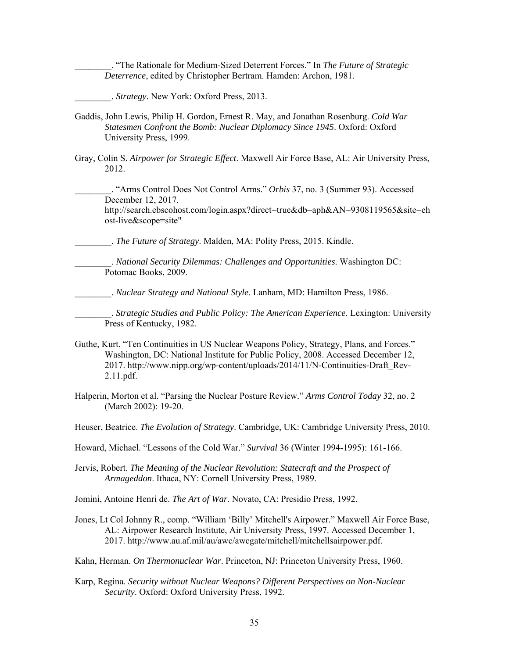\_\_\_\_\_\_\_\_. "The Rationale for Medium-Sized Deterrent Forces." In *The Future of Strategic Deterrence*, edited by Christopher Bertram. Hamden: Archon, 1981.

\_\_\_\_\_\_\_\_. *Strategy*. New York: Oxford Press, 2013.

- Gaddis, John Lewis, Philip H. Gordon, Ernest R. May, and Jonathan Rosenburg. *Cold War Statesmen Confront the Bomb: Nuclear Diplomacy Since 1945*. Oxford: Oxford University Press, 1999.
- Gray, Colin S. *Airpower for Strategic Effect*. Maxwell Air Force Base, AL: Air University Press, 2012.

\_\_\_\_\_\_\_\_. "Arms Control Does Not Control Arms." *Orbis* 37, no. 3 (Summer 93). Accessed December 12, 2017.

<http://search.ebscohost.com/login.aspx?direct=true&db=aph&AN=9308119565&site=eh> ost-live&scope=site"

\_\_\_\_\_\_\_\_. *The Future of Strategy*. Malden, MA: Polity Press, 2015. Kindle.

\_\_\_\_\_\_\_\_. *National Security Dilemmas: Challenges and Opportunities*. Washington DC: Potomac Books, 2009.

\_\_\_\_\_\_\_\_. *Nuclear Strategy and National Style*. Lanham, MD: Hamilton Press, 1986.

\_\_\_\_\_\_\_\_. *Strategic Studies and Public Policy: The American Experience*. Lexington: University Press of Kentucky, 1982.

- Guthe, Kurt. "Ten Continuities in US Nuclear Weapons Policy, Strategy, Plans, and Forces." Washington, DC: National Institute for Public Policy, 2008. Accessed December 12, 2017. [http://www.nipp.org/wp-content/uploads/2014/11/N-Continuities-Draft\\_Rev-](http://www.nipp.org/wp-content/uploads/2014/11/N-Continuities-Draft_Rev)2.11.pdf.
- Halperin, Morton et al. "Parsing the Nuclear Posture Review." *Arms Control Today* 32, no. 2 (March 2002): 19-20.
- Heuser, Beatrice. *The Evolution of Strategy*. Cambridge, UK: Cambridge University Press, 2010.
- Howard, Michael. "Lessons of the Cold War." *Survival* 36 (Winter 1994-1995): 161-166.
- Jervis, Robert. *The Meaning of the Nuclear Revolution: Statecraft and the Prospect of Armageddon*. Ithaca, NY: Cornell University Press, 1989.
- Jomini, Antoine Henri de. *The Art of War*. Novato, CA: Presidio Press, 1992.
- Jones, Lt Col Johnny R., comp. "William 'Billy' Mitchell's Airpower." Maxwell Air Force Base, AL: Airpower Research Institute, Air University Press, 1997. Accessed December 1, 2017. [http://www.au.af.mil/au/awc/awcgate/mitchell/mitchellsairpower.pdf.](http://www.au.af.mil/au/awc/awcgate/mitchell/mitchellsairpower.pdf)
- Kahn, Herman. *On Thermonuclear War*. Princeton, NJ: Princeton University Press, 1960.
- Karp, Regina. *Security without Nuclear Weapons? Different Perspectives on Non-Nuclear Security*. Oxford: Oxford University Press, 1992.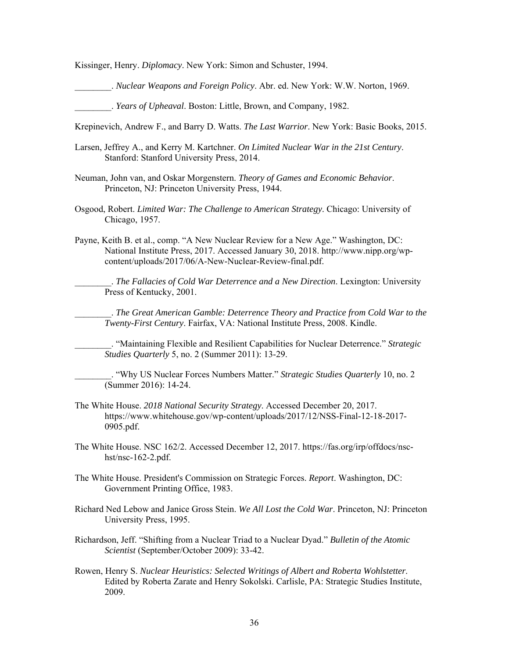Kissinger, Henry. *Diplomacy*. New York: Simon and Schuster, 1994.

\_\_\_\_\_\_\_\_. *Nuclear Weapons and Foreign Policy*. Abr. ed. New York: W.W. Norton, 1969.

\_\_\_\_\_\_\_\_. *Years of Upheaval*. Boston: Little, Brown, and Company, 1982.

Krepinevich, Andrew F., and Barry D. Watts. *The Last Warrior*. New York: Basic Books, 2015.

- Larsen, Jeffrey A., and Kerry M. Kartchner. *On Limited Nuclear War in the 21st Century*. Stanford: Stanford University Press, 2014.
- Neuman, John van, and Oskar Morgenstern. *Theory of Games and Economic Behavior*. Princeton, NJ: Princeton University Press, 1944.
- Osgood, Robert. *Limited War: The Challenge to American Strategy*. Chicago: University of Chicago, 1957.
- Payne, Keith B. et al., comp. "A New Nuclear Review for a New Age." Washington, DC: National Institute Press, 2017. Accessed January 30, 2018. <http://www.nipp.org/wp>content/uploads/2017/06/A-New-Nuclear-Review-final.pdf.

\_\_\_\_\_\_\_\_. *The Fallacies of Cold War Deterrence and a New Direction*. Lexington: University Press of Kentucky, 2001.

\_\_\_\_\_\_\_\_. *The Great American Gamble: Deterrence Theory and Practice from Cold War to the Twenty-First Century*. Fairfax, VA: National Institute Press, 2008. Kindle.

\_\_\_\_\_\_\_\_. "Maintaining Flexible and Resilient Capabilities for Nuclear Deterrence." *Strategic Studies Quarterly* 5, no. 2 (Summer 2011): 13-29.

\_\_\_\_\_\_\_\_. "Why US Nuclear Forces Numbers Matter." *Strategic Studies Quarterly* 10, no. 2 (Summer 2016): 14-24.

- The White House. *2018 National Security Strategy*. Accessed December 20, 2017. [https://www.whitehouse.gov/wp-content/uploads/2017/12/NSS-Final-12-18-2017-](https://www.whitehouse.gov/wp-content/uploads/2017/12/NSS-Final-12-18-2017) 0905.pdf.
- The White House. NSC 162/2. Accessed December 12, 2017. <https://fas.org/irp/offdocs/nsc>hst/nsc-162-2.pdf.
- The White House. President's Commission on Strategic Forces. *Report*. Washington, DC: Government Printing Office, 1983.
- Richard Ned Lebow and Janice Gross Stein. *We All Lost the Cold War*. Princeton, NJ: Princeton University Press, 1995.
- Richardson, Jeff. "Shifting from a Nuclear Triad to a Nuclear Dyad." *Bulletin of the Atomic Scientist* (September/October 2009): 33-42.
- Rowen, Henry S. *Nuclear Heuristics: Selected Writings of Albert and Roberta Wohlstetter*. Edited by Roberta Zarate and Henry Sokolski. Carlisle, PA: Strategic Studies Institute, 2009.